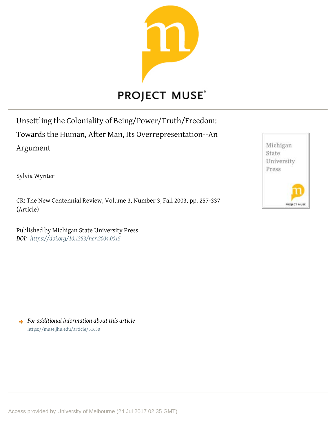

## **PROJECT MUSE®**

Unsettling the Coloniality of Being/Power/Truth/Freedom:

Towards the Human, After Man, Its Overrepresentation--An

Argument

Sylvia Wynter

CR: The New Centennial Review, Volume 3, Number 3, Fall 2003, pp. 257-337 (Article)

Published by Michigan State University Press *DOI: <https://doi.org/10.1353/ncr.2004.0015>*

*For additional information about this article* <https://muse.jhu.edu/article/51630>

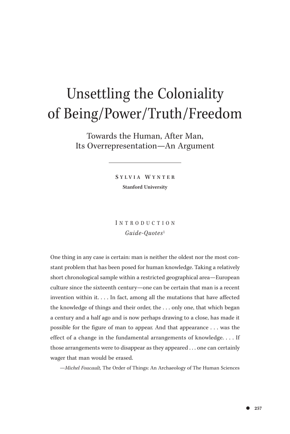# Unsettling the Coloniality of Being/Power/Truth/Freedom

Towards the Human, After Man, Its Overrepresentation—An Argument

> **S YLVIA W YNTER Stanford University**

> I NTRODUCTION *Guide-Quotes*<sup>1</sup>

One thing in any case is certain: man is neither the oldest nor the most constant problem that has been posed for human knowledge. Taking a relatively short chronological sample within a restricted geographical area—European culture since the sixteenth century—one can be certain that man is a recent invention within it. . . . In fact, among all the mutations that have affected the knowledge of things and their order, the . . . only one, that which began a century and a half ago and is now perhaps drawing to a close, has made it possible for the figure of man to appear. And that appearance . . . was the effect of a change in the fundamental arrangements of knowledge. . . . If those arrangements were to disappear as they appeared . . . one can certainly wager that man would be erased.

*—Michel Foucault,* The Order of Things: An Archaeology of The Human Sciences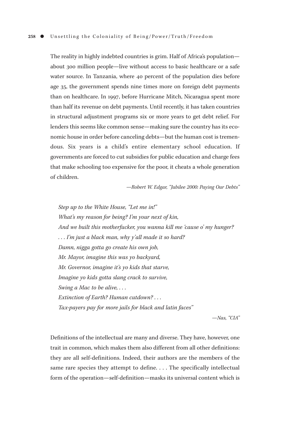#### **258** ● Unsettling the Coloniality of Being/Power/Truth/Freedom

The reality in highly indebted countries is grim. Half of Africa's population about 300 million people—live without access to basic healthcare or a safe water source. In Tanzania, where 40 percent of the population dies before age 35, the government spends nine times more on foreign debt payments than on healthcare. In 1997, before Hurricane Mitch, Nicaragua spent more than half its revenue on debt payments. Until recently, it has taken countries in structural adjustment programs six or more years to get debt relief. For lenders this seems like common sense—making sure the country has its economic house in order before canceling debts—but the human cost is tremendous. Six years is a child's entire elementary school education. If governments are forced to cut subsidies for public education and charge fees that make schooling too expensive for the poor, it cheats a whole generation of children.

*—Robert W. Edgar, "Jubilee 2000: Paying Our Debts"* 

*Step up to the White House, "Let me in!" What's my reason for being? I'm your next of kin, And we built this motherfucker, you wanna kill me 'cause o' my hunger? . . . I'm just a black man, why y'all made it so hard? Damn, nigga gotta go create his own job, Mr. Mayor, imagine this was yo backyard, Mr. Governor, imagine it's yo kids that starve, Imagine yo kids gotta slang crack to survive, Swing a Mac to be alive, . . . Extinction of Earth? Human cutdown? . . . Tax-payers pay for more jails for black and latin faces"*

*—Nas, "CIA"* 

Definitions of the intellectual are many and diverse. They have, however, one trait in common, which makes them also different from all other definitions: they are all self-definitions. Indeed, their authors are the members of the same rare species they attempt to define. . . . The specifically intellectual form of the operation—self-definition—masks its universal content which is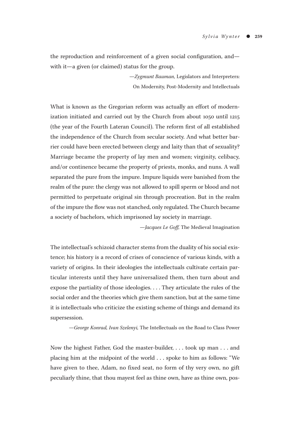the reproduction and reinforcement of a given social configuration, and with it—a given (or claimed) status for the group.

> *—Zygmunt Bauman,* Legislators and Interpreters: On Modernity, Post-Modernity and Intellectuals

What is known as the Gregorian reform was actually an effort of modernization initiated and carried out by the Church from about 1050 until 1215 (the year of the Fourth Lateran Council). The reform first of all established the independence of the Church from secular society. And what better barrier could have been erected between clergy and laity than that of sexuality? Marriage became the property of lay men and women; virginity, celibacy, and/or continence became the property of priests, monks, and nuns. A wall separated the pure from the impure. Impure liquids were banished from the realm of the pure: the clergy was not allowed to spill sperm or blood and not permitted to perpetuate original sin through procreation. But in the realm of the impure the flow was not stanched, only regulated. The Church became a society of bachelors, which imprisoned lay society in marriage.

*—Jacques Le Goff,* The Medieval Imagination

The intellectual's schizoid character stems from the duality of his social existence; his history is a record of crises of conscience of various kinds, with a variety of origins. In their ideologies the intellectuals cultivate certain particular interests until they have universalized them, then turn about and expose the partiality of those ideologies. . . . They articulate the rules of the social order and the theories which give them sanction, but at the same time it is intellectuals who criticize the existing scheme of things and demand its supersession.

*—George Konrad, Ivan Szelenyi,* The Intellectuals on the Road to Class Power

Now the highest Father, God the master-builder, . . . took up man . . . and placing him at the midpoint of the world . . . spoke to him as follows: "We have given to thee, Adam, no fixed seat, no form of thy very own, no gift peculiarly thine, that thou mayest feel as thine own, have as thine own, pos-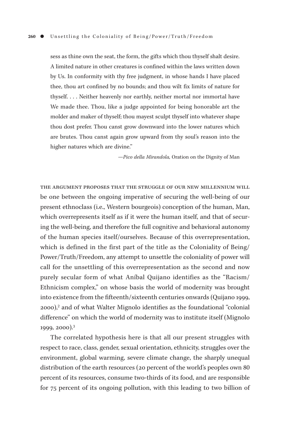#### **260** ● Unsettling the Coloniality of Being/Power/Truth/Freedom

sess as thine own the seat, the form, the gifts which thou thyself shalt desire. A limited nature in other creatures is confined within the laws written down by Us. In conformity with thy free judgment, in whose hands I have placed thee, thou art confined by no bounds; and thou wilt fix limits of nature for thyself. . . . Neither heavenly nor earthly, neither mortal nor immortal have We made thee. Thou, like a judge appointed for being honorable art the molder and maker of thyself; thou mayest sculpt thyself into whatever shape thou dost prefer. Thou canst grow downward into the lower natures which are brutes. Thou canst again grow upward from thy soul's reason into the higher natures which are divine."

*—Pico della Mirandola,* Oration on the Dignity of Man

the argument proposes that the struggle of our new millennium will be one between the ongoing imperative of securing the well-being of our present ethnoclass (i.e., Western bourgeois) conception of the human, Man, which overrepresents itself as if it were the human itself, and that of securing the well-being, and therefore the full cognitive and behavioral autonomy of the human species itself/ourselves. Because of this overrepresentation, which is defined in the first part of the title as the Coloniality of Being/ Power/Truth/Freedom, any attempt to unsettle the coloniality of power will call for the unsettling of this overrepresentation as the second and now purely secular form of what Aníbal Quijano identifies as the "Racism/ Ethnicism complex," on whose basis the world of modernity was brought into existence from the fifteenth/sixteenth centuries onwards (Quijano 1999, 2000),2 and of what Walter Mignolo identifies as the foundational "colonial difference" on which the world of modernity was to institute itself (Mignolo 1999, 2000).3

The correlated hypothesis here is that all our present struggles with respect to race, class, gender, sexual orientation, ethnicity, struggles over the environment, global warming, severe climate change, the sharply unequal distribution of the earth resources (20 percent of the world's peoples own 80 percent of its resources, consume two-thirds of its food, and are responsible for 75 percent of its ongoing pollution, with this leading to two billion of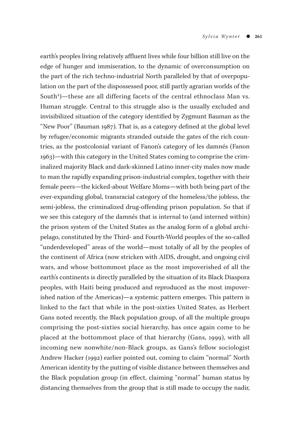earth's peoples living relatively affluent lives while four billion still live on the edge of hunger and immiseration, to the dynamic of overconsumption on the part of the rich techno-industrial North paralleled by that of overpopulation on the part of the dispossessed poor, still partly agrarian worlds of the South<sup>4</sup>)—these are all differing facets of the central ethnoclass Man vs. Human struggle. Central to this struggle also is the usually excluded and invisibilized situation of the category identified by Zygmunt Bauman as the "New Poor" (Bauman 1987). That is, as a category defined at the global level by refugee/economic migrants stranded outside the gates of the rich countries, as the postcolonial variant of Fanon's category of les damnés (Fanon 1963)—with this category in the United States coming to comprise the criminalized majority Black and dark-skinned Latino inner-city males now made to man the rapidly expanding prison-industrial complex, together with their female peers—the kicked-about Welfare Moms—with both being part of the ever-expanding global, transracial category of the homeless/the jobless, the semi-jobless, the criminalized drug-offending prison population. So that if we see this category of the damnés that is internal to (and interned within) the prison system of the United States as the analog form of a global archipelago, constituted by the Third- and Fourth-World peoples of the so-called "underdeveloped" areas of the world—most totally of all by the peoples of the continent of Africa (now stricken with AIDS, drought, and ongoing civil wars, and whose bottommost place as the most impoverished of all the earth's continents is directly paralleled by the situation of its Black Diaspora peoples, with Haiti being produced and reproduced as the most impoverished nation of the Americas)—a systemic pattern emerges. This pattern is linked to the fact that while in the post-sixties United States, as Herbert Gans noted recently, the Black population group, of all the multiple groups comprising the post-sixties social hierarchy, has once again come to be placed at the bottommost place of that hierarchy (Gans, 1999), with all incoming new nonwhite/non-Black groups, as Gans's fellow sociologist Andrew Hacker (1992) earlier pointed out, coming to claim "normal" North American identity by the putting of visible distance between themselves and the Black population group (in effect, claiming "normal" human status by distancing themselves from the group that is still made to occupy the nadir,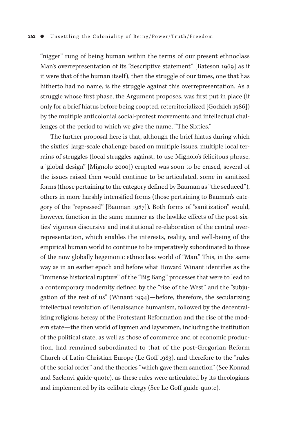"nigger" rung of being human within the terms of our present ethnoclass Man's overrepresentation of its "descriptive statement" [Bateson 1969] as if it were that of the human itself), then the struggle of our times, one that has hitherto had no name, is the struggle against this overrepresentation. As a struggle whose first phase, the Argument proposes, was first put in place (if only for a brief hiatus before being coopted, reterritorialized [Godzich 1986]) by the multiple anticolonial social-protest movements and intellectual challenges of the period to which we give the name, "The Sixties."

The further proposal here is that, although the brief hiatus during which the sixties' large-scale challenge based on multiple issues, multiple local terrains of struggles (local struggles against, to use Mignolo's felicitous phrase, a "global design" [Mignolo 2000]) erupted was soon to be erased, several of the issues raised then would continue to be articulated, some in sanitized forms (those pertaining to the category defined by Bauman as "the seduced"), others in more harshly intensified forms (those pertaining to Bauman's category of the "repressed" [Bauman 1987]). Both forms of "sanitization" would, however, function in the same manner as the lawlike effects of the post-sixties' vigorous discursive and institutional re-elaboration of the central overrepresentation, which enables the interests, reality, and well-being of the empirical human world to continue to be imperatively subordinated to those of the now globally hegemonic ethnoclass world of "Man." This, in the same way as in an earlier epoch and before what Howard Winant identifies as the "immense historical rupture" of the "Big Bang" processes that were to lead to a contemporary modernity defined by the "rise of the West" and the "subjugation of the rest of us" (Winant 1994)—before, therefore, the secularizing intellectual revolution of Renaissance humanism, followed by the decentralizing religious heresy of the Protestant Reformation and the rise of the modern state—the then world of laymen and laywomen, including the institution of the political state, as well as those of commerce and of economic production, had remained subordinated to that of the post-Gregorian Reform Church of Latin-Christian Europe (Le Goff 1983), and therefore to the "rules of the social order" and the theories "which gave them sanction" (See Konrad and Szelenyi guide-quote), as these rules were articulated by its theologians and implemented by its celibate clergy (See Le Goff guide-quote).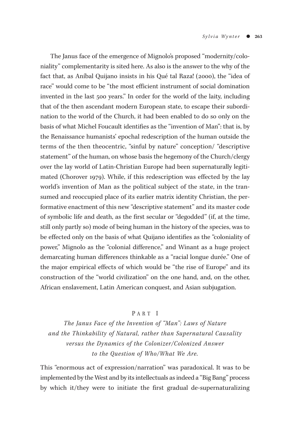The Janus face of the emergence of Mignolo's proposed "modernity/coloniality" complementarity is sited here. As also is the answer to the why of the fact that, as Aníbal Quijano insists in his Qué tal Raza! (2000), the "idea of race" would come to be "the most efficient instrument of social domination invented in the last 500 years." In order for the world of the laity, including that of the then ascendant modern European state, to escape their subordination to the world of the Church, it had been enabled to do so only on the basis of what Michel Foucault identifies as the "invention of Man": that is, by the Renaissance humanists' epochal redescription of the human outside the terms of the then theocentric, "sinful by nature" conception/ "descriptive statement" of the human, on whose basis the hegemony of the Church/clergy over the lay world of Latin-Christian Europe had been supernaturally legitimated (Chorover 1979). While, if this redescription was effected by the lay world's invention of Man as the political subject of the state, in the transumed and reoccupied place of its earlier matrix identity Christian, the performative enactment of this new "descriptive statement" and its master code of symbolic life and death, as the first secular or "degodded" (if, at the time, still only partly so) mode of being human in the history of the species, was to be effected only on the basis of what Quijano identifies as the "coloniality of power," Mignolo as the "colonial difference," and Winant as a huge project demarcating human differences thinkable as a "racial longue durée." One of the major empirical effects of which would be "the rise of Europe" and its construction of the "world civilization" on the one hand, and, on the other, African enslavement, Latin American conquest, and Asian subjugation.

## P ART I

*The Janus Face of the Invention of "Man": Laws of Nature and the Thinkability of Natural, rather than Supernatural Causality versus the Dynamics of the Colonizer/Colonized Answer to the Question of Who/What We Are.*

This "enormous act of expression/narration" was paradoxical. It was to be implemented by the West and by its intellectuals as indeed a "Big Bang" process by which it/they were to initiate the first gradual de-supernaturalizing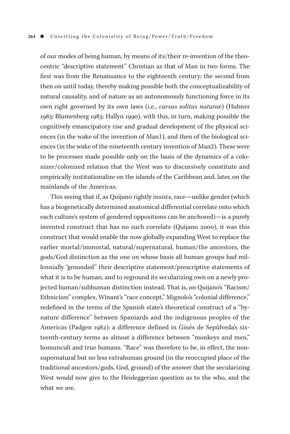of our modes of being human, by means of its/their re-invention of the theocentric "descriptive statement" Christian as that of Man in two forms. The first was from the Renaissance to the eighteenth century; the second from then on until today, thereby making possible both the conceptualizability of natural causality, and of nature as an autonomously functioning force in its own right governed by its own laws (i.e., *cursus solitus naturae*) (Hubner 1983; Blumenberg 1983; Hallyn 1990), with this, in turn, making possible the cognitively emancipatory rise and gradual development of the physical sciences (in the wake of the invention of Man1), and then of the biological sciences (in the wake of the nineteenth century invention of Man2). These were to be processes made possible only on the basis of the dynamics of a colonizer/colonized relation that the West was to discursively constitute and empirically institutionalize on the islands of the Caribbean and, later, on the mainlands of the Americas.

This seeing that if, as Quijano rightly insists, race—unlike gender (which has a biogenetically determined anatomical differential correlate onto which each culture's system of gendered oppositions can be anchored)—is a purely invented construct that has no such correlate (Quijano 2000), it was this construct that would enable the now globally expanding West to replace the earlier mortal/immortal, natural/supernatural, human/the ancestors, the gods/God distinction as the one on whose basis all human groups had millennially "grounded" their descriptive statement/prescriptive statements of what it is to be human, and to reground its secularizing own on a newly projected human/subhuman distinction instead. That is, on Quijano's "Racism/ Ethnicism" complex, Winant's "race concept," Mignolo's "colonial difference," redefined in the terms of the Spanish state's theoretical construct of a "bynature difference" between Spaniards and the indigenous peoples of the Americas (Padgen 1982): a difference defined in Ginés de Sepúlveda's sixteenth-century terms as almost a difference between "monkeys and men," homunculi and true humans. "Race" was therefore to be, in effect, the nonsupernatural but no less extrahuman ground (in the reoccupied place of the traditional ancestors/gods, God, ground) of the answer that the secularizing West would now give to the Heideggerian question as to the who, and the what we are.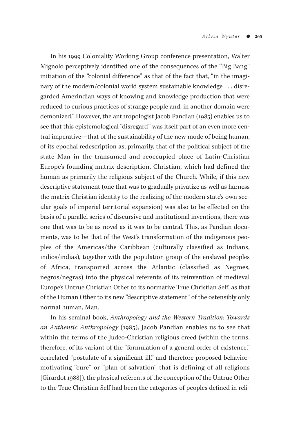In his 1999 Coloniality Working Group conference presentation, Walter Mignolo perceptively identified one of the consequences of the "Big Bang" initiation of the "colonial difference" as that of the fact that, "in the imaginary of the modern/colonial world system sustainable knowledge . . . disregarded Amerindian ways of knowing and knowledge production that were reduced to curious practices of strange people and, in another domain were demonized." However, the anthropologist Jacob Pandian (1985) enables us to see that this epistemological "disregard" was itself part of an even more central imperative—that of the sustainability of the new mode of being human, of its epochal redescription as, primarily, that of the political subject of the state Man in the transumed and reoccupied place of Latin-Christian Europe's founding matrix description, Christian, which had defined the human as primarily the religious subject of the Church. While, if this new descriptive statement (one that was to gradually privatize as well as harness the matrix Christian identity to the realizing of the modern state's own secular goals of imperial territorial expansion) was also to be effected on the basis of a parallel series of discursive and institutional inventions, there was one that was to be as novel as it was to be central. This, as Pandian documents, was to be that of the West's transformation of the indigenous peoples of the Americas/the Caribbean (culturally classified as Indians, indios/indias), together with the population group of the enslaved peoples of Africa, transported across the Atlantic (classified as Negroes, negros/negras) into the physical referents of its reinvention of medieval Europe's Untrue Christian Other to its normative True Christian Self, as that of the Human Other to its new "descriptive statement" of the ostensibly only normal human, Man.

In his seminal book, *Anthropology and the Western Tradition: Towards an Authentic Anthropology* (1985), Jacob Pandian enables us to see that within the terms of the Judeo-Christian religious creed (within the terms, therefore, of its variant of the "formulation of a general order of existence," correlated "postulate of a significant ill," and therefore proposed behaviormotivating "cure" or "plan of salvation" that is defining of all religions [Girardot 1988]), the physical referents of the conception of the Untrue Other to the True Christian Self had been the categories of peoples defined in reli-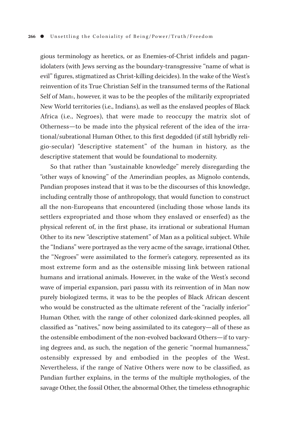gious terminology as heretics, or as Enemies-of-Christ infidels and paganidolaters (with Jews serving as the boundary-transgressive "name of what is evil" figures, stigmatized as Christ-killing deicides). In the wake of the West's reinvention of its True Christian Self in the transumed terms of the Rational Self of Man<sub>1</sub>, however, it was to be the peoples of the militarily expropriated New World territories (i.e., Indians), as well as the enslaved peoples of Black Africa (i.e., Negroes), that were made to reoccupy the matrix slot of Otherness—to be made into the physical referent of the idea of the irrational/subrational Human Other, to this first degodded (if still hybridly religio-secular) "descriptive statement" of the human in history, as the descriptive statement that would be foundational to modernity.

So that rather than "sustainable knowledge" merely disregarding the "other ways of knowing" of the Amerindian peoples, as Mignolo contends, Pandian proposes instead that it was to be the discourses of this knowledge, including centrally those of anthropology, that would function to construct all the non-Europeans that encountered (including those whose lands its settlers expropriated and those whom they enslaved or enserfed) as the physical referent of, in the first phase, its irrational or subrational Human Other to its new "descriptive statement" of Man as a political subject. While the "Indians" were portrayed as the very acme of the savage, irrational Other, the "Negroes" were assimilated to the former's category, represented as its most extreme form and as the ostensible missing link between rational humans and irrational animals. However, in the wake of the West's second wave of imperial expansion, pari passu with its reinvention of in Man now purely biologized terms, it was to be the peoples of Black African descent who would be constructed as the ultimate referent of the "racially inferior" Human Other, with the range of other colonized dark-skinned peoples, all classified as "natives," now being assimilated to its category—all of these as the ostensible embodiment of the non-evolved backward Others—if to varying degrees and, as such, the negation of the generic "normal humanness," ostensibly expressed by and embodied in the peoples of the West. Nevertheless, if the range of Native Others were now to be classified, as Pandian further explains, in the terms of the multiple mythologies, of the savage Other, the fossil Other, the abnormal Other, the timeless ethnographic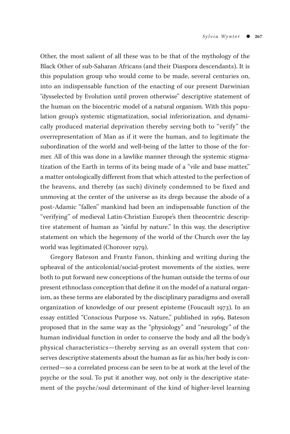Other, the most salient of all these was to be that of the mythology of the Black Other of sub-Saharan Africans (and their Diaspora descendants). It is this population group who would come to be made, several centuries on, into an indispensable function of the enacting of our present Darwinian "dysselected by Evolution until proven otherwise" descriptive statement of the human on the biocentric model of a natural organism. With this population group's systemic stigmatization, social inferiorization, and dynamically produced material deprivation thereby serving both to "verify" the overrepresentation of Man as if it were the human, and to legitimate the subordination of the world and well-being of the latter to those of the former. All of this was done in a lawlike manner through the systemic stigmatization of the Earth in terms of its being made of a "vile and base matter," a matter ontologically different from that which attested to the perfection of the heavens, and thereby (as such) divinely condemned to be fixed and unmoving at the center of the universe as its dregs because the abode of a post-Adamic "fallen" mankind had been an indispensable function of the "verifying" of medieval Latin-Christian Europe's then theocentric descriptive statement of human as "sinful by nature." In this way, the descriptive statement on which the hegemony of the world of the Church over the lay world was legitimated (Chorover 1979).

Gregory Bateson and Frantz Fanon, thinking and writing during the upheaval of the anticolonial/social-protest movements of the sixties, were both to put forward new conceptions of the human outside the terms of our present ethnoclass conception that define it on the model of a natural organism, as these terms are elaborated by the disciplinary paradigms and overall organization of knowledge of our present episteme (Foucault 1973). In an essay entitled "Conscious Purpose vs. Nature," published in 1969, Bateson proposed that in the same way as the "physiology" and "neurology" of the human individual function in order to conserve the body and all the body's physical characteristics—thereby serving as an overall system that conserves descriptive statements about the human as far as his/her body is concerned—so a correlated process can be seen to be at work at the level of the psyche or the soul. To put it another way, not only is the descriptive statement of the psyche/soul determinant of the kind of higher-level learning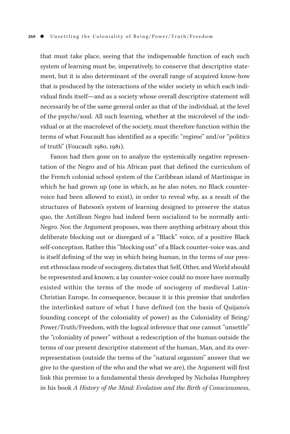that must take place, seeing that the indispensable function of each such system of learning must be, imperatively, to conserve that descriptive statement, but it is also determinant of the overall range of acquired know-how that is produced by the interactions of the wider society in which each individual finds itself—and as a society whose overall descriptive statement will necessarily be of the same general order as that of the individual, at the level of the psyche/soul. All such learning, whether at the microlevel of the individual or at the macrolevel of the society, must therefore function within the terms of what Foucault has identified as a specific "regime" and/or "politics of truth" (Foucault 1980, 1981).

Fanon had then gone on to analyze the systemically negative representation of the Negro and of his African past that defined the curriculum of the French colonial school system of the Caribbean island of Martinique in which he had grown up (one in which, as he also notes, no Black countervoice had been allowed to exist), in order to reveal why, as a result of the structures of Bateson's system of learning designed to preserve the status quo, the Antillean Negro had indeed been socialized to be normally anti-Negro. Nor, the Argument proposes, was there anything arbitrary about this deliberate blocking out or disregard of a "Black" voice, of a positive Black self-conception. Rather this "blocking out" of a Black counter-voice was, and is itself defining of the way in which being human, in the terms of our present ethnoclass mode of sociogeny, dictates that Self, Other, and World should be represented and known; a lay counter-voice could no more have normally existed within the terms of the mode of sociogeny of medieval Latin-Christian Europe. In consequence, because it is this premise that underlies the interlinked nature of what I have defined (on the basis of Quijano's founding concept of the coloniality of power) as the Coloniality of Being/ Power/Truth/Freedom, with the logical inference that one cannot "unsettle" the "coloniality of power" without a redescription of the human outside the terms of our present descriptive statement of the human, Man, and its overrepresentation (outside the terms of the "natural organism" answer that we give to the question of the who and the what we are), the Argument will first link this premise to a fundamental thesis developed by Nicholas Humphrey in his book *A History of the Mind: Evolution and the Birth of Consciousness*,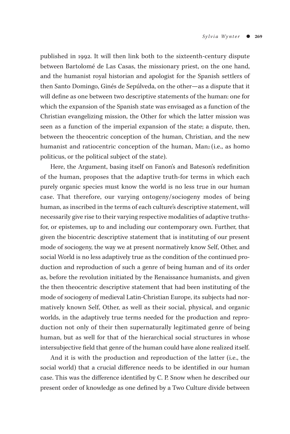published in 1992. It will then link both to the sixteenth-century dispute between Bartolomé de Las Casas, the missionary priest, on the one hand, and the humanist royal historian and apologist for the Spanish settlers of then Santo Domingo, Ginés de Sepúlveda, on the other—as a dispute that it will define as one between two descriptive statements of the human: one for which the expansion of the Spanish state was envisaged as a function of the Christian evangelizing mission, the Other for which the latter mission was seen as a function of the imperial expansion of the state; a dispute, then, between the theocentric conception of the human, Christian, and the new humanist and ratiocentric conception of the human, Man<sub>2</sub> (i.e., as homo politicus, or the political subject of the state).

Here, the Argument, basing itself on Fanon's and Bateson's redefinition of the human, proposes that the adaptive truth-for terms in which each purely organic species must know the world is no less true in our human case. That therefore, our varying ontogeny/sociogeny modes of being human, as inscribed in the terms of each culture's descriptive statement, will necessarily give rise to their varying respective modalities of adaptive truthsfor, or epistemes, up to and including our contemporary own. Further, that given the biocentric descriptive statement that is instituting of our present mode of sociogeny, the way we at present normatively know Self, Other, and social World is no less adaptively true as the condition of the continued production and reproduction of such a genre of being human and of its order as, before the revolution initiated by the Renaissance humanists, and given the then theocentric descriptive statement that had been instituting of the mode of sociogeny of medieval Latin-Christian Europe, its subjects had normatively known Self, Other, as well as their social, physical, and organic worlds, in the adaptively true terms needed for the production and reproduction not only of their then supernaturally legitimated genre of being human, but as well for that of the hierarchical social structures in whose intersubjective field that genre of the human could have alone realized itself.

And it is with the production and reproduction of the latter (i.e., the social world) that a crucial difference needs to be identified in our human case. This was the difference identified by C. P. Snow when he described our present order of knowledge as one defined by a Two Culture divide between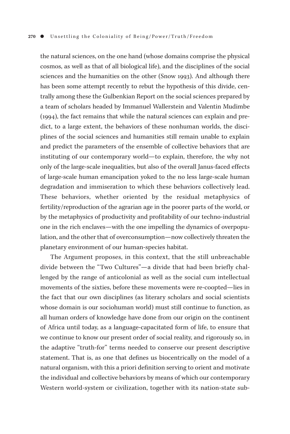the natural sciences, on the one hand (whose domains comprise the physical cosmos, as well as that of all biological life), and the disciplines of the social sciences and the humanities on the other (Snow 1993). And although there has been some attempt recently to rebut the hypothesis of this divide, centrally among these the Gulbenkian Report on the social sciences prepared by a team of scholars headed by Immanuel Wallerstein and Valentin Mudimbe (1994), the fact remains that while the natural sciences can explain and predict, to a large extent, the behaviors of these nonhuman worlds, the disciplines of the social sciences and humanities still remain unable to explain and predict the parameters of the ensemble of collective behaviors that are instituting of our contemporary world—to explain, therefore, the why not only of the large-scale inequalities, but also of the overall Janus-faced effects of large-scale human emancipation yoked to the no less large-scale human degradation and immiseration to which these behaviors collectively lead. These behaviors, whether oriented by the residual metaphysics of fertility/reproduction of the agrarian age in the poorer parts of the world, or by the metaphysics of productivity and profitability of our techno-industrial one in the rich enclaves—with the one impelling the dynamics of overpopulation, and the other that of overconsumption—now collectively threaten the planetary environment of our human-species habitat.

The Argument proposes, in this context, that the still unbreachable divide between the "Two Cultures"—a divide that had been briefly challenged by the range of anticolonial as well as the social cum intellectual movements of the sixties, before these movements were re-coopted—lies in the fact that our own disciplines (as literary scholars and social scientists whose domain is our sociohuman world) must still continue to function, as all human orders of knowledge have done from our origin on the continent of Africa until today, as a language-capacitated form of life, to ensure that we continue to know our present order of social reality, and rigorously so, in the adaptive "truth-for" terms needed to conserve our present descriptive statement. That is, as one that defines us biocentrically on the model of a natural organism, with this a priori definition serving to orient and motivate the individual and collective behaviors by means of which our contemporary Western world-system or civilization, together with its nation-state sub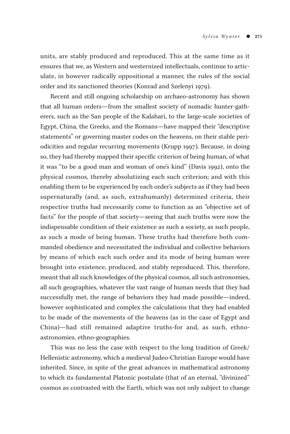units, are stably produced and reproduced. This at the same time as it ensures that we, as Western and westernized intellectuals, continue to articulate, in however radically oppositional a manner, the rules of the social order and its sanctioned theories (Konrad and Szelenyi 1979).

Recent and still ongoing scholarship on archaeo-astronomy has shown that all human orders—from the smallest society of nomadic hunter-gatherers, such as the San people of the Kalahari, to the large-scale societies of Egypt, China, the Greeks, and the Romans—have mapped their "descriptive statements" or governing master codes on the heavens, on their stable periodicities and regular recurring movements (Krupp 1997). Because, in doing so, they had thereby mapped their specific criterion of being human, of what it was "to be a good man and woman of one's kind" (Davis 1992), onto the physical cosmos, thereby absolutizing each such criterion; and with this enabling them to be experienced by each order's subjects as if they had been supernaturally (and, as such, extrahumanly) determined criteria, their respective truths had necessarily come to function as an "objective set of facts" for the people of that society—seeing that such truths were now the indispensable condition of their existence as such a society, as such people, as such a mode of being human. These truths had therefore both commanded obedience and necessitated the individual and collective behaviors by means of which each such order and its mode of being human were brought into existence, produced, and stably reproduced. This, therefore, meant that all such knowledges of the physical cosmos, all such astronomies, all such geographies, whatever the vast range of human needs that they had successfully met, the range of behaviors they had made possible—indeed, however sophisticated and complex the calculations that they had enabled to be made of the movements of the heavens (as in the case of Egypt and China)—had still remained adaptive truths-for and, as such, ethnoastronomies, ethno-geographies.

This was no less the case with respect to the long tradition of Greek/ Hellenistic astronomy, which a medieval Judeo-Christian Europe would have inherited. Since, in spite of the great advances in mathematical astronomy to which its fundamental Platonic postulate (that of an eternal, "divinized" cosmos as contrasted with the Earth, which was not only subject to change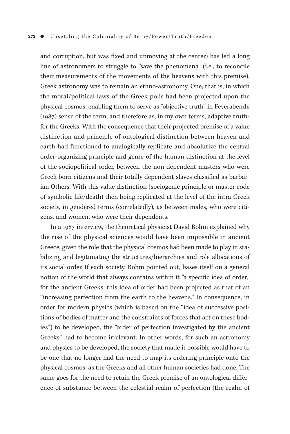#### **272** ● Unsettling the Coloniality of Being/Power/Truth/Freedom

and corruption, but was fixed and unmoving at the center) has led a long line of astronomers to struggle to "save the phenomena" (i.e., to reconcile their measurements of the movements of the heavens with this premise), Greek astronomy was to remain an ethno-astronomy. One, that is, in which the moral/political laws of the Greek polis had been projected upon the physical cosmos, enabling them to serve as "objective truth" in Feyerabend's (1987) sense of the term, and therefore as, in my own terms, adaptive truthfor the Greeks. With the consequence that their projected premise of a value distinction and principle of ontological distinction between heaven and earth had functioned to analogically replicate and absolutize the central order-organizing principle and genre-of-the-human distinction at the level of the sociopolitical order, between the non-dependent masters who were Greek-born citizens and their totally dependent slaves classified as barbarian Others. With this value distinction (sociogenic principle or master code of symbolic life/death) then being replicated at the level of the intra-Greek society, in gendered terms (correlatedly), as between males, who were citizens, and women, who were their dependents.

In a 1987 interview, the theoretical physicist David Bohm explained why the rise of the physical sciences would have been impossible in ancient Greece, given the role that the physical cosmos had been made to play in stabilizing and legitimating the structures/hierarchies and role allocations of its social order. If each society, Bohm pointed out, bases itself on a general notion of the world that always contains within it "a specific idea of order," for the ancient Greeks, this idea of order had been projected as that of an "increasing perfection from the earth to the heavens." In consequence, in order for modern physics (which is based on the "idea of successive positions of bodies of matter and the constraints of forces that act on these bodies") to be developed, the "order of perfection investigated by the ancient Greeks" had to become irrelevant. In other words, for such an astronomy and physics to be developed, the society that made it possible would have to be one that no longer had the need to map its ordering principle onto the physical cosmos, as the Greeks and all other human societies had done. The same goes for the need to retain the Greek premise of an ontological difference of substance between the celestial realm of perfection (the realm of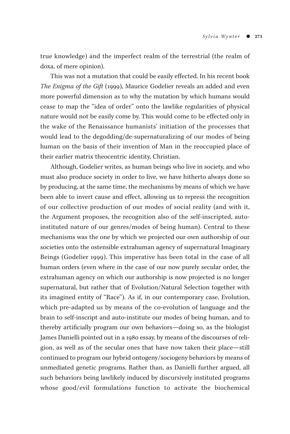true knowledge) and the imperfect realm of the terrestrial (the realm of doxa, of mere opinion).

This was not a mutation that could be easily effected. In his recent book *The Enigma of the Gift* (1999), Maurice Godelier reveals an added and even more powerful dimension as to why the mutation by which humans would cease to map the "idea of order" onto the lawlike regularities of physical nature would not be easily come by. This would come to be effected only in the wake of the Renaissance humanists' initiation of the processes that would lead to the degodding/de-supernaturalizing of our modes of being human on the basis of their invention of Man in the reoccupied place of their earlier matrix theocentric identity, Christian.

Although, Godelier writes, as human beings who live in society, and who must also produce society in order to live, we have hitherto always done so by producing, at the same time, the mechanisms by means of which we have been able to invert cause and effect, allowing us to repress the recognition of our collective production of our modes of social reality (and with it, the Argument proposes, the recognition also of the self-inscripted, autoinstituted nature of our genres/modes of being human). Central to these mechanisms was the one by which we projected our own authorship of our societies onto the ostensible extrahuman agency of supernatural Imaginary Beings (Godelier 1999). This imperative has been total in the case of all human orders (even where in the case of our now purely secular order, the extrahuman agency on which our authorship is now projected is no longer supernatural, but rather that of Evolution/Natural Selection together with its imagined entity of "Race"). As if, in our contemporary case, Evolution, which pre-adapted us by means of the co-evolution of language and the brain to self-inscript and auto-institute our modes of being human, and to thereby artificially program our own behaviors—doing so, as the biologist James Danielli pointed out in a 1980 essay, by means of the discourses of religion, as well as of the secular ones that have now taken their place—still continued to program our hybrid ontogeny/sociogeny behaviors by means of unmediated genetic programs. Rather than, as Danielli further argued, all such behaviors being lawlikely induced by discursively instituted programs whose good/evil formulations function to activate the biochemical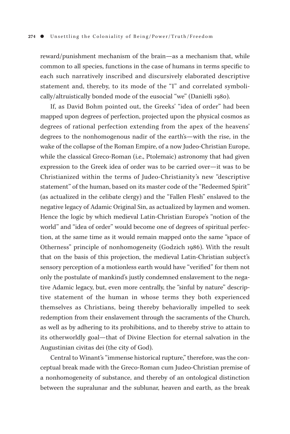reward/punishment mechanism of the brain—as a mechanism that, while common to all species, functions in the case of humans in terms specific to each such narratively inscribed and discursively elaborated descriptive statement and, thereby, to its mode of the "I" and correlated symbolically/altruistically bonded mode of the eusocial "we" (Danielli 1980).

If, as David Bohm pointed out, the Greeks' "idea of order" had been mapped upon degrees of perfection, projected upon the physical cosmos as degrees of rational perfection extending from the apex of the heavens' degrees to the nonhomogenous nadir of the earth's—with the rise, in the wake of the collapse of the Roman Empire, of a now Judeo-Christian Europe, while the classical Greco-Roman (i.e., Ptolemaic) astronomy that had given expression to the Greek idea of order was to be carried over—it was to be Christianized within the terms of Judeo-Christianity's new "descriptive statement" of the human, based on its master code of the "Redeemed Spirit" (as actualized in the celibate clergy) and the "Fallen Flesh" enslaved to the negative legacy of Adamic Original Sin, as actualized by laymen and women. Hence the logic by which medieval Latin-Christian Europe's "notion of the world" and "idea of order" would become one of degrees of spiritual perfection, at the same time as it would remain mapped onto the same "space of Otherness" principle of nonhomogeneity (Godzich 1986). With the result that on the basis of this projection, the medieval Latin-Christian subject's sensory perception of a motionless earth would have "verified" for them not only the postulate of mankind's justly condemned enslavement to the negative Adamic legacy, but, even more centrally, the "sinful by nature" descriptive statement of the human in whose terms they both experienced themselves as Christians, being thereby behaviorally impelled to seek redemption from their enslavement through the sacraments of the Church, as well as by adhering to its prohibitions, and to thereby strive to attain to its otherworldly goal—that of Divine Election for eternal salvation in the Augustinian civitas dei (the city of God).

Central to Winant's "immense historical rupture," therefore, was the conceptual break made with the Greco-Roman cum Judeo-Christian premise of a nonhomogeneity of substance, and thereby of an ontological distinction between the supralunar and the sublunar, heaven and earth, as the break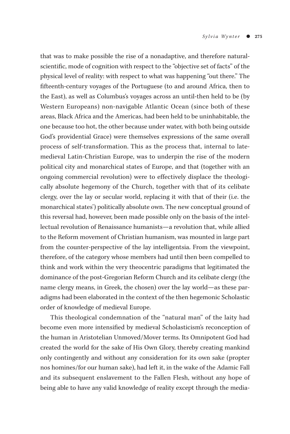that was to make possible the rise of a nonadaptive, and therefore naturalscientific, mode of cognition with respect to the "objective set of facts" of the physical level of reality: with respect to what was happening "out there." The fifteenth-century voyages of the Portuguese (to and around Africa, then to the East), as well as Columbus's voyages across an until-then held to be (by Western Europeans) non-navigable Atlantic Ocean (since both of these areas, Black Africa and the Americas, had been held to be uninhabitable, the one because too hot, the other because under water, with both being outside God's providential Grace) were themselves expressions of the same overall process of self-transformation. This as the process that, internal to latemedieval Latin-Christian Europe, was to underpin the rise of the modern political city and monarchical states of Europe, and that (together with an ongoing commercial revolution) were to effectively displace the theologically absolute hegemony of the Church, together with that of its celibate clergy, over the lay or secular world, replacing it with that of their (i.e. the monarchical states') politically absolute own. The new conceptual ground of this reversal had, however, been made possible only on the basis of the intellectual revolution of Renaissance humanists—a revolution that, while allied to the Reform movement of Christian humanism, was mounted in large part from the counter-perspective of the lay intelligentsia. From the viewpoint, therefore, of the category whose members had until then been compelled to think and work within the very theocentric paradigms that legitimated the dominance of the post-Gregorian Reform Church and its celibate clergy (the name clergy means, in Greek, the chosen) over the lay world—as these paradigms had been elaborated in the context of the then hegemonic Scholastic order of knowledge of medieval Europe.

This theological condemnation of the "natural man" of the laity had become even more intensified by medieval Scholasticism's reconception of the human in Aristotelian Unmoved/Mover terms. Its Omnipotent God had created the world for the sake of His Own Glory, thereby creating mankind only contingently and without any consideration for its own sake (propter nos homines/for our human sake), had left it, in the wake of the Adamic Fall and its subsequent enslavement to the Fallen Flesh, without any hope of being able to have any valid knowledge of reality except through the media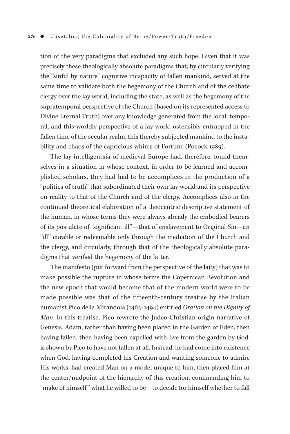tion of the very paradigms that excluded any such hope. Given that it was precisely these theologically absolute paradigms that, by circularly verifying the "sinful by nature" cognitive incapacity of fallen mankind, served at the same time to validate both the hegemony of the Church and of the celibate clergy over the lay world, including the state, as well as the hegemony of the supratemporal perspective of the Church (based on its represented access to Divine Eternal Truth) over any knowledge generated from the local, temporal, and this-worldly perspective of a lay world ostensibly entrapped in the fallen time of the secular realm, this thereby subjected mankind to the instability and chaos of the capricious whims of Fortune (Pocock 1989).

The lay intelligentsia of medieval Europe had, therefore, found themselves in a situation in whose context, in order to be learned and accomplished scholars, they had had to be accomplices in the production of a "politics of truth" that subordinated their own lay world and its perspective on reality to that of the Church and of the clergy. Accomplices also in the continued theoretical elaboration of a theocentric descriptive statement of the human, in whose terms they were always already the embodied bearers of its postulate of "significant ill"—that of enslavement to Original Sin—an "ill" curable or redeemable only through the mediation of the Church and the clergy, and circularly, through that of the theologically absolute paradigms that verified the hegemony of the latter.

The manifesto (put forward from the perspective of the laity) that was to make possible the rupture in whose terms the Copernican Revolution and the new epoch that would become that of the modern world were to be made possible was that of the fifteenth-century treatise by the Italian humanist Pico della Mirandola (1463-1494) entitled *Oration on the Dignity of Man*. In this treatise, Pico rewrote the Judeo-Christian origin narrative of Genesis. Adam, rather than having been placed in the Garden of Eden, then having fallen, then having been expelled with Eve from the garden by God, is shown by Pico to have not fallen at all. Instead, he had come into existence when God, having completed his Creation and wanting someone to admire His works, had created Man on a model unique to him, then placed him at the center/midpoint of the hierarchy of this creation, commanding him to "make of himself " what he willed to be—to decide for himself whether to fall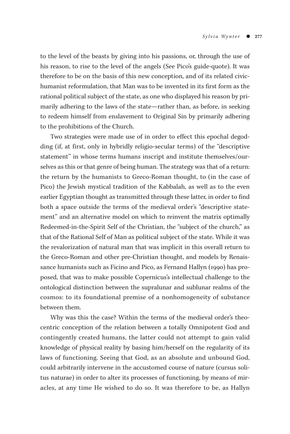to the level of the beasts by giving into his passions, or, through the use of his reason, to rise to the level of the angels (See Pico's guide-quote). It was therefore to be on the basis of this new conception, and of its related civichumanist reformulation, that Man was to be invented in its first form as the rational political subject of the state, as one who displayed his reason by primarily adhering to the laws of the state—rather than, as before, in seeking to redeem himself from enslavement to Original Sin by primarily adhering to the prohibitions of the Church.

Two strategies were made use of in order to effect this epochal degodding (if, at first, only in hybridly religio-secular terms) of the "descriptive statement" in whose terms humans inscript and institute themselves/ourselves as this or that genre of being human. The strategy was that of a return: the return by the humanists to Greco-Roman thought, to (in the case of Pico) the Jewish mystical tradition of the Kabbalah, as well as to the even earlier Egyptian thought as transmitted through these latter, in order to find both a space outside the terms of the medieval order's "descriptive statement" and an alternative model on which to reinvent the matrix optimally Redeemed-in-the-Spirit Self of the Christian, the "subject of the church," as that of the Rational Self of Man as political subject of the state. While it was the revalorization of natural man that was implicit in this overall return to the Greco-Roman and other pre-Christian thought, and models by Renaissance humanists such as Ficino and Pico, as Fernand Hallyn (1990) has proposed, that was to make possible Copernicus's intellectual challenge to the ontological distinction between the supralunar and sublunar realms of the cosmos: to its foundational premise of a nonhomogeneity of substance between them.

Why was this the case? Within the terms of the medieval order's theocentric conception of the relation between a totally Omnipotent God and contingently created humans, the latter could not attempt to gain valid knowledge of physical reality by basing him/herself on the regularity of its laws of functioning. Seeing that God, as an absolute and unbound God, could arbitrarily intervene in the accustomed course of nature (cursus solitus naturae) in order to alter its processes of functioning, by means of miracles, at any time He wished to do so. It was therefore to be, as Hallyn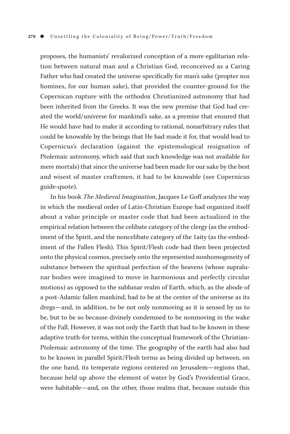#### **278** ● Unsettling the Coloniality of Being/Power/Truth/Freedom

proposes, the humanists' revalorized conception of a more egalitarian relation between natural man and a Christian God, reconceived as a Caring Father who had created the universe specifically for man's sake (propter nos homines, for our human sake), that provided the counter-ground for the Copernican rupture with the orthodox Christianized astronomy that had been inherited from the Greeks. It was the new premise that God had created the world/universe for mankind's sake, as a premise that ensured that He would have had to make it according to rational, nonarbitrary rules that could be knowable by the beings that He had made it for, that would lead to Copernicus's declaration (against the epistemological resignation of Ptolemaic astronomy, which said that such knowledge was not available for mere mortals) that since the universe had been made for our sake by the best and wisest of master craftsmen, it had to be knowable (see Copernicus guide-quote).

In his book *The Medieval Imagination*, Jacques Le Goff analyzes the way in which the medieval order of Latin-Christian Europe had organized itself about a value principle or master code that had been actualized in the empirical relation between the celibate category of the clergy (as the embodiment of the Spirit, and the noncelibate category of the 1aity (as the embodiment of the Fallen Flesh). This Spirit/Flesh code had then been projected onto the physical cosmos, precisely onto the represented nonhomogeneity of substance between the spiritual perfection of the heavens (whose supralunar bodies were imagined to move in harmonious and perfectly circular motions) as opposed to the sublunar realm of Earth, which, as the abode of a post-Adamic fallen mankind, had to be at the center of the universe as its dregs—and, in addition, to be not only nonmoving as it is sensed by us to be, but to be so because divinely condemned to be nonmoving in the wake of the Fall. However, it was not only the Earth that had to be known in these adaptive truth-for terms, within the conceptual framework of the Christian-Ptolemaic astronomy of the time. The geography of the earth had also had to be known in parallel Spirit/Flesh terms as being divided up between, on the one hand, its temperate regions centered on Jerusalem—regions that, because held up above the element of water by God's Providential Grace, were habitable—and, on the other, those realms that, because outside this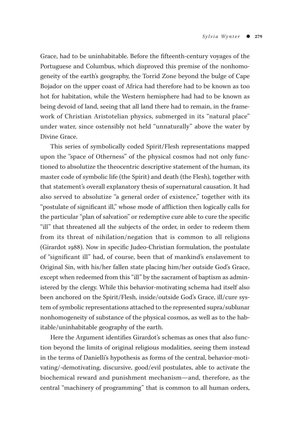Grace, had to be uninhabitable. Before the fifteenth-century voyages of the Portuguese and Columbus, which disproved this premise of the nonhomogeneity of the earth's geography, the Torrid Zone beyond the bulge of Cape Bojador on the upper coast of Africa had therefore had to be known as too hot for habitation, while the Western hemisphere had had to be known as being devoid of land, seeing that all land there had to remain, in the framework of Christian Aristotelian physics, submerged in its "natural place" under water, since ostensibly not held "unnaturally" above the water by Divine Grace.

This series of symbolically coded Spirit/Flesh representations mapped upon the "space of Otherness" of the physical cosmos had not only functioned to absolutize the theocentric descriptive statement of the human, its master code of symbolic life (the Spirit) and death (the Flesh), together with that statement's overall explanatory thesis of supernatural causation. It had also served to absolutize "a general order of existence," together with its "postulate of significant ill," whose mode of affliction then logically calls for the particular "plan of salvation" or redemptive cure able to cure the specific "ill" that threatened all the subjects of the order, in order to redeem them from its threat of nihilation/negation that is common to all religions (Girardot 1988). Now in specific Judeo-Christian formulation, the postulate of "significant ill" had, of course, been that of mankind's enslavement to Original Sin, with his/her fallen state placing him/her outside God's Grace, except when redeemed from this "ill" by the sacrament of baptism as administered by the clergy. While this behavior-motivating schema had itself also been anchored on the Spirit/Flesh, inside/outside God's Grace, ill/cure system of symbolic representations attached to the represented supra/sublunar nonhomogeneity of substance of the physical cosmos, as well as to the habitable/uninhabitable geography of the earth.

Here the Argument identifies Girardot's schemas as ones that also function beyond the limits of original religious modalities, seeing them instead in the terms of Danielli's hypothesis as forms of the central, behavior-motivating/-demotivating, discursive, good/evil postulates, able to activate the biochemical reward and punishment mechanism—and, therefore, as the central "machinery of programming" that is common to all human orders,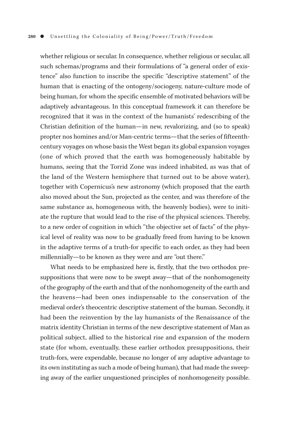whether religious or secular. In consequence, whether religious or secular, all such schemas/programs and their formulations of "a general order of existence" also function to inscribe the specific "descriptive statement" of the human that is enacting of the ontogeny/sociogeny, nature-culture mode of being human, for whom the specific ensemble of motivated behaviors will be adaptively advantageous. In this conceptual framework it can therefore be recognized that it was in the context of the humanists' redescribing of the Christian definition of the human—in new, revalorizing, and (so to speak) propter nos homines and/or Man-centric terms—that the series of fifteenthcentury voyages on whose basis the West began its global expansion voyages (one of which proved that the earth was homogeneously habitable by humans, seeing that the Torrid Zone was indeed inhabited, as was that of the land of the Western hemisphere that turned out to be above water), together with Copernicus's new astronomy (which proposed that the earth also moved about the Sun, projected as the center, and was therefore of the same substance as, homogeneous with, the heavenly bodies), were to initiate the rupture that would lead to the rise of the physical sciences. Thereby, to a new order of cognition in which "the objective set of facts" of the physical level of reality was now to be gradually freed from having to be known in the adaptive terms of a truth-for specific to each order, as they had been millennially—to be known as they were and are "out there."

What needs to be emphasized here is, firstly, that the two orthodox presuppositions that were now to be swept away—that of the nonhomogeneity of the geography of the earth and that of the nonhomogeneity of the earth and the heavens—had been ones indispensable to the conservation of the medieval order's theocentric descriptive statement of the human. Secondly, it had been the reinvention by the lay humanists of the Renaissance of the matrix identity Christian in terms of the new descriptive statement of Man as political subject, allied to the historical rise and expansion of the modern state (for whom, eventually, these earlier orthodox presuppositions, their truth-fors, were expendable, because no longer of any adaptive advantage to its own instituting as such a mode of being human), that had made the sweeping away of the earlier unquestioned principles of nonhomogeneity possible.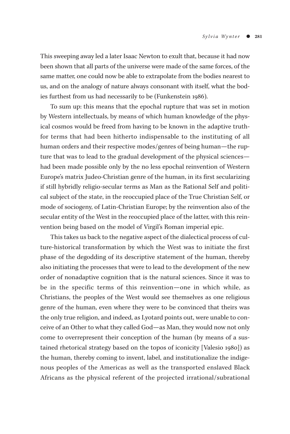This sweeping away led a later Isaac Newton to exult that, because it had now been shown that all parts of the universe were made of the same forces, of the same matter, one could now be able to extrapolate from the bodies nearest to us, and on the analogy of nature always consonant with itself, what the bodies furthest from us had necessarily to be (Funkenstein 1986).

To sum up: this means that the epochal rupture that was set in motion by Western intellectuals, by means of which human knowledge of the physical cosmos would be freed from having to be known in the adaptive truthfor terms that had been hitherto indispensable to the instituting of all human orders and their respective modes/genres of being human—the rupture that was to lead to the gradual development of the physical sciences had been made possible only by the no less epochal reinvention of Western Europe's matrix Judeo-Christian genre of the human, in its first secularizing if still hybridly religio-secular terms as Man as the Rational Self and political subject of the state, in the reoccupied place of the True Christian Self, or mode of sociogeny, of Latin-Christian Europe; by the reinvention also of the secular entity of the West in the reoccupied place of the latter, with this reinvention being based on the model of Virgil's Roman imperial epic.

This takes us back to the negative aspect of the dialectical process of culture-historical transformation by which the West was to initiate the first phase of the degodding of its descriptive statement of the human, thereby also initiating the processes that were to lead to the development of the new order of nonadaptive cognition that is the natural sciences. Since it was to be in the specific terms of this reinvention—one in which while, as Christians, the peoples of the West would see themselves as one religious genre of the human, even where they were to be convinced that theirs was the only true religion, and indeed, as Lyotard points out, were unable to conceive of an Other to what they called God—as Man, they would now not only come to overrepresent their conception of the human (by means of a sustained rhetorical strategy based on the topos of iconicity [Valesio 1980]) as the human, thereby coming to invent, label, and institutionalize the indigenous peoples of the Americas as well as the transported enslaved Black Africans as the physical referent of the projected irrational/subrational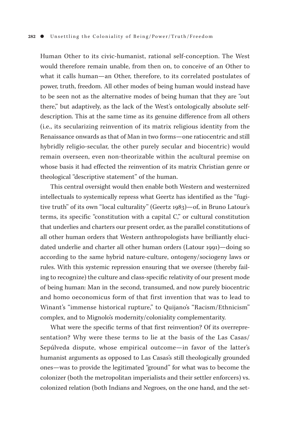#### **282** ● Unsettling the Coloniality of Being/Power/Truth/Freedom

Human Other to its civic-humanist, rational self-conception. The West would therefore remain unable, from then on, to conceive of an Other to what it calls human—an Other, therefore, to its correlated postulates of power, truth, freedom. All other modes of being human would instead have to be seen not as the alternative modes of being human that they are "out there," but adaptively, as the lack of the West's ontologically absolute selfdescription. This at the same time as its genuine difference from all others (i.e., its secularizing reinvention of its matrix religious identity from the Renaissance onwards as that of Man in two forms—one ratiocentric and still hybridly religio-secular, the other purely secular and biocentric) would remain overseen, even non-theorizable within the acultural premise on whose basis it had effected the reinvention of its matrix Christian genre or theological "descriptive statement" of the human.

This central oversight would then enable both Western and westernized intellectuals to systemically repress what Geertz has identified as the "fugitive truth" of its own "local culturality" (Geertz 1983)—of, in Bruno Latour's terms, its specific "constitution with a capital C," or cultural constitution that underlies and charters our present order, as the parallel constitutions of all other human orders that Western anthropologists have brilliantly elucidated underlie and charter all other human orders (Latour 1991)—doing so according to the same hybrid nature-culture, ontogeny/sociogeny laws or rules. With this systemic repression ensuring that we oversee (thereby failing to recognize) the culture and class-specific relativity of our present mode of being human: Man in the second, transumed, and now purely biocentric and homo oeconomicus form of that first invention that was to lead to Winant's "immense historical rupture," to Quijano's "Racism/Ethnicism" complex, and to Mignolo's modernity/coloniality complementarity.

What were the specific terms of that first reinvention? Of its overrepresentation? Why were these terms to lie at the basis of the Las Casas/ Sepúlveda dispute, whose empirical outcome—in favor of the latter's humanist arguments as opposed to Las Casas's still theologically grounded ones—was to provide the legitimated "ground" for what was to become the colonizer (both the metropolitan imperialists and their settler enforcers) vs. colonized relation (both Indians and Negroes, on the one hand, and the set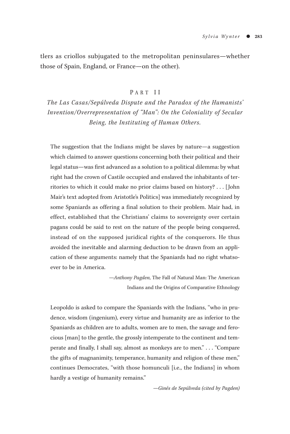tlers as criollos subjugated to the metropolitan peninsulares—whether those of Spain, England, or France—on the other).

## P ART I I

*The Las Casas/Sepúlveda Dispute and the Paradox of the Humanists' Invention/Overrepresentation of "Man": On the Coloniality of Secular Being, the Instituting of Human Others.*

The suggestion that the Indians might be slaves by nature—a suggestion which claimed to answer questions concerning both their political and their legal status—was first advanced as a solution to a political dilemma: by what right had the crown of Castile occupied and enslaved the inhabitants of territories to which it could make no prior claims based on history? . . . [John Mair's text adopted from Aristotle's Politics] was immediately recognized by some Spaniards as offering a final solution to their problem. Mair had, in effect, established that the Christians' claims to sovereignty over certain pagans could be said to rest on the nature of the people being conquered, instead of on the supposed juridical rights of the conquerors. He thus avoided the inevitable and alarming deduction to be drawn from an application of these arguments: namely that the Spaniards had no right whatsoever to be in America.

> *—Anthony Pagden,* The Fall of Natural Man: The American Indians and the Origins of Comparative Ethnology

Leopoldo is asked to compare the Spaniards with the Indians, "who in prudence, wisdom (ingenium), every virtue and humanity are as inferior to the Spaniards as children are to adults, women are to men, the savage and ferocious [man] to the gentle, the grossly intemperate to the continent and temperate and finally, I shall say, almost as monkeys are to men." . . . "Compare the gifts of magnanimity, temperance, humanity and religion of these men," continues Democrates, "with those homunculi [i.e., the Indians] in whom hardly a vestige of humanity remains."

*—Ginés de Sepúlveda (cited by Pagden)*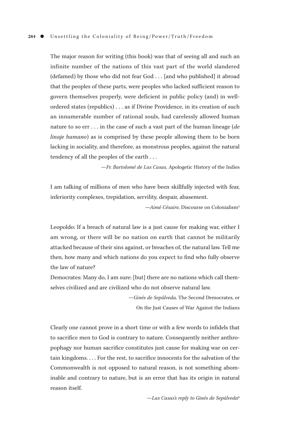#### **284** ● Unsettling the Coloniality of Being/Power/Truth/Freedom

The major reason for writing (this book) was that of seeing all and such an infinite number of the nations of this vast part of the world slandered (defamed) by those who did not fear God . . . [and who published] it abroad that the peoples of these parts, were peoples who lacked sufficient reason to govern themselves properly, were deficient in public policy (and) in wellordered states (republics) . . . as if Divine Providence, in its creation of such an innumerable number of rational souls, had carelessly allowed human nature to so err . . . in the case of such a vast part of the human lineage (*de linaje humano*) as is comprised by these people allowing them to be born lacking in sociality, and therefore, as monstrous peoples, against the natural tendency of all the peoples of the earth . . .

*—Fr. Bartolomé de Las Casas,* Apologetic History of the Indies

I am talking of millions of men who have been skillfully injected with fear, inferiority complexes, trepidation, servility, despair, abasement.

*—Aimé Césaire,* Discourse on Colonialism5

Leopoldo: If a breach of natural law is a just cause for making war, either I am wrong, or there will be no nation on earth that cannot be militarily attacked because of their sins against, or breaches of, the natural law. Tell me then, how many and which nations do you expect to find who fully observe the law of nature?

Democrates: Many do, I am sure: [but] there are no nations which call themselves civilized and are civilized who do not observe natural law.

> *—Ginés de Sepúlveda,* The Second Democrates, or On the Just Causes of War Against the Indians

Clearly one cannot prove in a short time or with a few words to infidels that to sacrifice men to God is contrary to nature. Consequently neither anthropophagy nor human sacrifice constitutes just cause for making war on certain kingdoms. . . . For the rest, to sacrifice innocents for the salvation of the Commonwealth is not opposed to natural reason, is not something abominable and contrary to nature, but is an error that has its origin in natural reason itself.

*—Las Casas's reply to Ginés de Sepúlveda*<sup>6</sup>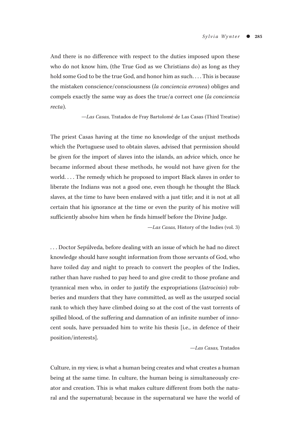And there is no difference with respect to the duties imposed upon these who do not know him, (the True God as we Christians do) as long as they hold some God to be the true God, and honor him as such. . . . This is because the mistaken conscience/consciousness (*la conciencia erronea*) obliges and compels exactly the same way as does the true/a correct one (*la conciencia recta*).

*—Las Casas,* Tratados de Fray Bartolomé de Las Casas (Third Treatise)

The priest Casas having at the time no knowledge of the unjust methods which the Portuguese used to obtain slaves, advised that permission should be given for the import of slaves into the islands, an advice which, once he became informed about these methods, he would not have given for the world. . . . The remedy which he proposed to import Black slaves in order to liberate the Indians was not a good one, even though he thought the Black slaves, at the time to have been enslaved with a just title; and it is not at all certain that his ignorance at the time or even the purity of his motive will sufficiently absolve him when he finds himself before the Divine Judge.

*—Las Casas,* History of the Indies (vol. 3)

. . . Doctor Sepúlveda, before dealing with an issue of which he had no direct knowledge should have sought information from those servants of God, who have toiled day and night to preach to convert the peoples of the Indies, rather than have rushed to pay heed to and give credit to those profane and tyrannical men who, in order to justify the expropriations (*latrocinio*) robberies and murders that they have committed, as well as the usurped social rank to which they have climbed doing so at the cost of the vast torrents of spilled blood, of the suffering and damnation of an infinite number of innocent souls, have persuaded him to write his thesis [i.e., in defence of their position/interests].

#### *—Las Casas,* Tratados

Culture, in my view, is what a human being creates and what creates a human being at the same time. In culture, the human being is simultaneously creator and creation. This is what makes culture different from both the natural and the supernatural; because in the supernatural we have the world of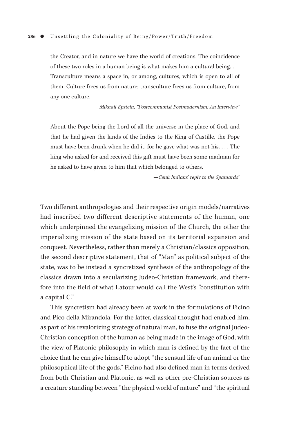the Creator, and in nature we have the world of creations. The coincidence of these two roles in a human being is what makes him a cultural being. . . . Transculture means a space in, or among, cultures, which is open to all of them. Culture frees us from nature; transculture frees us from culture, from any one culture.

#### *—Mikhail Epstein, "Postcommunist Postmodernism: An Interview"*

About the Pope being the Lord of all the universe in the place of God, and that he had given the lands of the Indies to the King of Castille, the Pope must have been drunk when he did it, for he gave what was not his. . . . The king who asked for and received this gift must have been some madman for he asked to have given to him that which belonged to others.

*—Cenú Indians' reply to the Spaniards*<sup>7</sup>

Two different anthropologies and their respective origin models/narratives had inscribed two different descriptive statements of the human, one which underpinned the evangelizing mission of the Church, the other the imperializing mission of the state based on its territorial expansion and conquest. Nevertheless, rather than merely a Christian/classics opposition, the second descriptive statement, that of "Man" as political subject of the state, was to be instead a syncretized synthesis of the anthropology of the classics drawn into a secularizing Judeo-Christian framework, and therefore into the field of what Latour would call the West's "constitution with a capital C."

This syncretism had already been at work in the formulations of Ficino and Pico della Mirandola. For the latter, classical thought had enabled him, as part of his revalorizing strategy of natural man, to fuse the original Judeo-Christian conception of the human as being made in the image of God, with the view of Platonic philosophy in which man is defined by the fact of the choice that he can give himself to adopt "the sensual life of an animal or the philosophical life of the gods." Ficino had also defined man in terms derived from both Christian and Platonic, as well as other pre-Christian sources as a creature standing between "the physical world of nature" and "the spiritual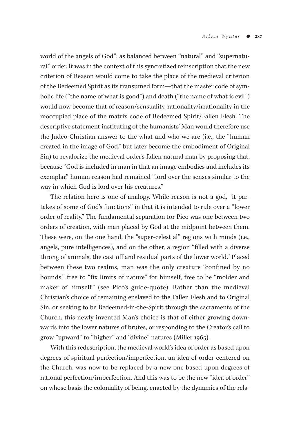world of the angels of God": as balanced between "natural" and "supernatural" order. It was in the context of this syncretized reinscription that the new criterion of Reason would come to take the place of the medieval criterion of the Redeemed Spirit as its transumed form—that the master code of symbolic life ("the name of what is good") and death ("the name of what is evil") would now become that of reason/sensuality, rationality/irrationality in the reoccupied place of the matrix code of Redeemed Spirit/Fallen Flesh. The descriptive statement instituting of the humanists' Man would therefore use the Judeo-Christian answer to the what and who we are (i.e., the "human created in the image of God," but later become the embodiment of Original Sin) to revalorize the medieval order's fallen natural man by proposing that, because "God is included in man in that an image embodies and includes its exemplar," human reason had remained "lord over the senses similar to the way in which God is lord over his creatures."

The relation here is one of analogy. While reason is not a god, "it partakes of some of God's functions" in that it is intended to rule over a "lower order of reality." The fundamental separation for Pico was one between two orders of creation, with man placed by God at the midpoint between them. These were, on the one hand, the "super-celestial" regions with minds (i.e., angels, pure intelligences), and on the other, a region "filled with a diverse throng of animals, the cast off and residual parts of the lower world." Placed between these two realms, man was the only creature "confined by no bounds," free to "fix limits of nature" for himself, free to be "molder and maker of himself" (see Pico's guide-quote). Rather than the medieval Christian's choice of remaining enslaved to the Fallen Flesh and to Original Sin, or seeking to be Redeemed-in-the-Spirit through the sacraments of the Church, this newly invented Man's choice is that of either growing downwards into the lower natures of brutes, or responding to the Creator's call to grow "upward" to "higher" and "divine" natures (Miller 1965).

With this redescription, the medieval world's idea of order as based upon degrees of spiritual perfection/imperfection, an idea of order centered on the Church, was now to be replaced by a new one based upon degrees of rational perfection/imperfection. And this was to be the new "idea of order" on whose basis the coloniality of being, enacted by the dynamics of the rela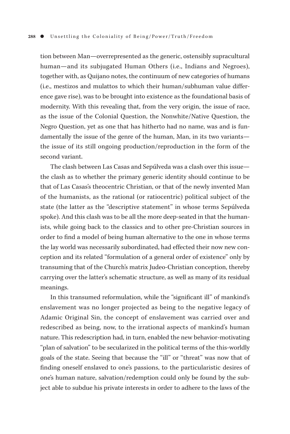tion between Man—overrepresented as the generic, ostensibly supracultural human—and its subjugated Human Others (i.e., Indians and Negroes), together with, as Quijano notes, the continuum of new categories of humans (i.e., mestizos and mulattos to which their human/subhuman value difference gave rise), was to be brought into existence as the foundational basis of modernity. With this revealing that, from the very origin, the issue of race, as the issue of the Colonial Question, the Nonwhite/Native Question, the Negro Question, yet as one that has hitherto had no name, was and is fundamentally the issue of the genre of the human, Man, in its two variants the issue of its still ongoing production/reproduction in the form of the second variant.

The clash between Las Casas and Sepúlveda was a clash over this issue the clash as to whether the primary generic identity should continue to be that of Las Casas's theocentric Christian, or that of the newly invented Man of the humanists, as the rational (or ratiocentric) political subject of the state (the latter as the "descriptive statement" in whose terms Sepúlveda spoke). And this clash was to be all the more deep-seated in that the humanists, while going back to the classics and to other pre-Christian sources in order to find a model of being human alternative to the one in whose terms the lay world was necessarily subordinated, had effected their now new conception and its related "formulation of a general order of existence" only by transuming that of the Church's matrix Judeo-Christian conception, thereby carrying over the latter's schematic structure, as well as many of its residual meanings.

In this transumed reformulation, while the "significant ill" of mankind's enslavement was no longer projected as being to the negative legacy of Adamic Original Sin, the concept of enslavement was carried over and redescribed as being, now, to the irrational aspects of mankind's human nature. This redescription had, in turn, enabled the new behavior-motivating "plan of salvation" to be secularized in the political terms of the this-worldly goals of the state. Seeing that because the "ill" or "threat" was now that of finding oneself enslaved to one's passions, to the particularistic desires of one's human nature, salvation/redemption could only be found by the subject able to subdue his private interests in order to adhere to the laws of the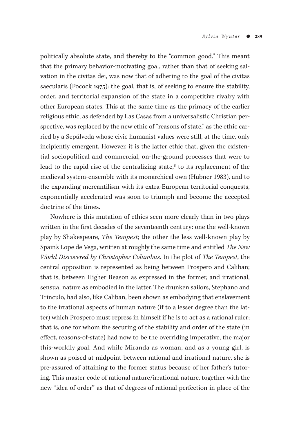politically absolute state, and thereby to the "common good." This meant that the primary behavior-motivating goal, rather than that of seeking salvation in the civitas dei, was now that of adhering to the goal of the civitas saecularis (Pocock 1975): the goal, that is, of seeking to ensure the stability, order, and territorial expansion of the state in a competitive rivalry with other European states. This at the same time as the primacy of the earlier religious ethic, as defended by Las Casas from a universalistic Christian perspective, was replaced by the new ethic of "reasons of state," as the ethic carried by a Sepúlveda whose civic humanist values were still, at the time, only incipiently emergent. However, it is the latter ethic that, given the existential sociopolitical and commercial, on-the-ground processes that were to lead to the rapid rise of the centralizing state, $s$  to its replacement of the medieval system-ensemble with its monarchical own (Hubner 1983), and to the expanding mercantilism with its extra-European territorial conquests, exponentially accelerated was soon to triumph and become the accepted doctrine of the times.

Nowhere is this mutation of ethics seen more clearly than in two plays written in the first decades of the seventeenth century: one the well-known play by Shakespeare, *The Tempest*; the other the less well-known play by Spain's Lope de Vega, written at roughly the same time and entitled *The New World Discovered by Christopher Columbus*. In the plot of *The Tempest*, the central opposition is represented as being between Prospero and Caliban; that is, between Higher Reason as expressed in the former, and irrational, sensual nature as embodied in the latter. The drunken sailors, Stephano and Trinculo, had also, like Caliban, been shown as embodying that enslavement to the irrational aspects of human nature (if to a lesser degree than the latter) which Prospero must repress in himself if he is to act as a rational ruler; that is, one for whom the securing of the stability and order of the state (in effect, reasons-of-state) had now to be the overriding imperative, the major this-worldly goal. And while Miranda as woman, and as a young girl, is shown as poised at midpoint between rational and irrational nature, she is pre-assured of attaining to the former status because of her father's tutoring. This master code of rational nature/irrational nature, together with the new "idea of order" as that of degrees of rational perfection in place of the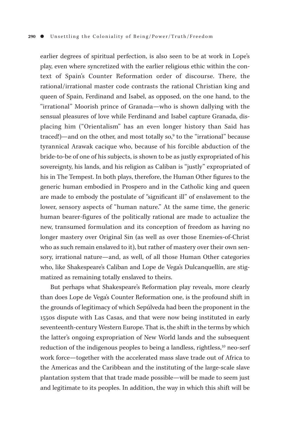earlier degrees of spiritual perfection, is also seen to be at work in Lope's play, even where syncretized with the earlier religious ethic within the context of Spain's Counter Reformation order of discourse. There, the rational/irrational master code contrasts the rational Christian king and queen of Spain, Ferdinand and Isabel, as opposed, on the one hand, to the "irrational" Moorish prince of Granada—who is shown dallying with the sensual pleasures of love while Ferdinand and Isabel capture Granada, displacing him ("Orientalism" has an even longer history than Said has traced!)—and on the other, and most totally so,<sup>9</sup> to the "irrational" because tyrannical Arawak cacique who, because of his forcible abduction of the bride-to-be of one of his subjects, is shown to be as justly expropriated of his sovereignty, his lands, and his religion as Caliban is "justly" expropriated of his in The Tempest. In both plays, therefore, the Human Other figures to the generic human embodied in Prospero and in the Catholic king and queen are made to embody the postulate of "significant ill" of enslavement to the lower, sensory aspects of "human nature." At the same time, the generic human bearer-figures of the politically rational are made to actualize the new, transumed formulation and its conception of freedom as having no longer mastery over Original Sin (as well as over those Enemies-of-Christ who as such remain enslaved to it), but rather of mastery over their own sensory, irrational nature—and, as well, of all those Human Other categories who, like Shakespeare's Caliban and Lope de Vega's Dulcanquellín, are stigmatized as remaining totally enslaved to theirs.

But perhaps what Shakespeare's Reformation play reveals, more clearly than does Lope de Vega's Counter Reformation one, is the profound shift in the grounds of legitimacy of which Sepúlveda had been the proponent in the 1550s dispute with Las Casas, and that were now being instituted in early seventeenth-century Western Europe. That is, the shift in the terms by which the latter's ongoing expropriation of New World lands and the subsequent reduction of the indigenous peoples to being a landless, rightless,<sup>10</sup> neo-serf work force—together with the accelerated mass slave trade out of Africa to the Americas and the Caribbean and the instituting of the large-scale slave plantation system that that trade made possible—will be made to seem just and legitimate to its peoples. In addition, the way in which this shift will be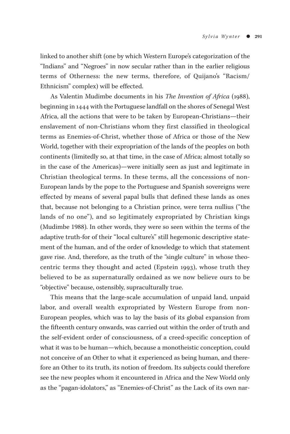linked to another shift (one by which Western Europe's categorization of the "Indians" and "Negroes" in now secular rather than in the earlier religious terms of Otherness: the new terms, therefore, of Quijano's "Racism/ Ethnicism" complex) will be effected.

As Valentin Mudimbe documents in his *The Invention of Africa* (1988), beginning in 1444 with the Portuguese landfall on the shores of Senegal West Africa, all the actions that were to be taken by European-Christians—their enslavement of non-Christians whom they first classified in theological terms as Enemies-of-Christ, whether those of Africa or those of the New World, together with their expropriation of the lands of the peoples on both continents (limitedly so, at that time, in the case of Africa; almost totally so in the case of the Americas)—were initially seen as just and legitimate in Christian theological terms. In these terms, all the concessions of non-European lands by the pope to the Portuguese and Spanish sovereigns were effected by means of several papal bulls that defined these lands as ones that, because not belonging to a Christian prince, were terra nullius ("the lands of no one"), and so legitimately expropriated by Christian kings (Mudimbe 1988). In other words, they were so seen within the terms of the adaptive truth-for of their "local culture's" still hegemonic descriptive statement of the human, and of the order of knowledge to which that statement gave rise. And, therefore, as the truth of the "single culture" in whose theocentric terms they thought and acted (Epstein 1993), whose truth they believed to be as supernaturally ordained as we now believe ours to be "objective" because, ostensibly, supraculturally true.

This means that the large-scale accumulation of unpaid land, unpaid labor, and overall wealth expropriated by Western Europe from non-European peoples, which was to lay the basis of its global expansion from the fifteenth century onwards, was carried out within the order of truth and the self-evident order of consciousness, of a creed-specific conception of what it was to be human—which, because a monotheistic conception, could not conceive of an Other to what it experienced as being human, and therefore an Other to its truth, its notion of freedom. Its subjects could therefore see the new peoples whom it encountered in Africa and the New World only as the "pagan-idolators," as "Enemies-of-Christ" as the Lack of its own nar-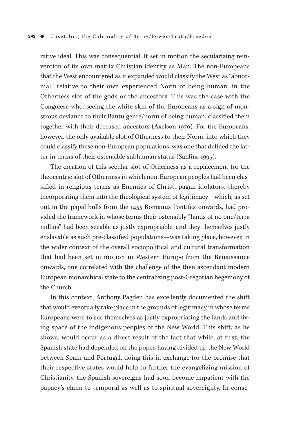rative ideal. This was consequential. It set in motion the secularizing reinvention of its own matrix Christian identity as Man. The non-Europeans that the West encountered as it expanded would classify the West as "abnormal" relative to their own experienced Norm of being human, in the Otherness slot of the gods or the ancestors. This was the case with the Congolese who, seeing the white skin of the Europeans as a sign of monstrous deviance to their Bantu genre/norm of being human, classified them together with their deceased ancestors (Axelson 1970). For the Europeans, however, the only available slot of Otherness to their Norm, into which they could classify these non-European populations, was one that defined the latter in terms of their ostensible subhuman status (Sahlins 1995).

The creation of this secular slot of Otherness as a replacement for the theocentric slot of Otherness in which non-European peoples had been classified in religious terms as Enemies-of-Christ, pagan-idolators, thereby incorporating them into the theological system of legitimacy—which, as set out in the papal bulls from the 1455 Romanus Pontifex onwards, had provided the framework in whose terms their ostensibly "lands of no one/terra nullius" had been seeable as justly expropriable, and they themselves justly enslavable as such pre-classified populations—was taking place, however, in the wider context of the overall sociopolitical and cultural transformation that had been set in motion in Western Europe from the Renaissance onwards, one correlated with the challenge of the then ascendant modern European monarchical state to the centralizing post-Gregorian hegemony of the Church.

In this context, Anthony Pagden has excellently documented the shift that would eventually take place in the grounds of legitimacy in whose terms Europeans were to see themselves as justly expropriating the lands and living space of the indigenous peoples of the New World. This shift, as he shows, would occur as a direct result of the fact that while, at first, the Spanish state had depended on the pope's having divided up the New World between Spain and Portugal, doing this in exchange for the promise that their respective states would help to further the evangelizing mission of Christianity, the Spanish sovereigns had soon become impatient with the papacy's claim to temporal as well as to spiritual sovereignty. In conse-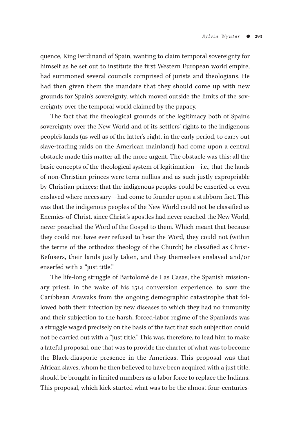quence, King Ferdinand of Spain, wanting to claim temporal sovereignty for himself as he set out to institute the first Western European world empire, had summoned several councils comprised of jurists and theologians. He had then given them the mandate that they should come up with new grounds for Spain's sovereignty, which moved outside the limits of the sovereignty over the temporal world claimed by the papacy.

The fact that the theological grounds of the legitimacy both of Spain's sovereignty over the New World and of its settlers' rights to the indigenous people's lands (as well as of the latter's right, in the early period, to carry out slave-trading raids on the American mainland) had come upon a central obstacle made this matter all the more urgent. The obstacle was this: all the basic concepts of the theological system of legitimation—i.e., that the lands of non-Christian princes were terra nullius and as such justly expropriable by Christian princes; that the indigenous peoples could be enserfed or even enslaved where necessary—had come to founder upon a stubborn fact. This was that the indigenous peoples of the New World could not be classified as Enemies-of-Christ, since Christ's apostles had never reached the New World, never preached the Word of the Gospel to them. Which meant that because they could not have ever refused to hear the Word, they could not (within the terms of the orthodox theology of the Church) be classified as Christ-Refusers, their lands justly taken, and they themselves enslaved and/or enserfed with a "just title."

The life-long struggle of Bartolomé de Las Casas, the Spanish missionary priest, in the wake of his 1514 conversion experience, to save the Caribbean Arawaks from the ongoing demographic catastrophe that followed both their infection by new diseases to which they had no immunity and their subjection to the harsh, forced-labor regime of the Spaniards was a struggle waged precisely on the basis of the fact that such subjection could not be carried out with a "just title." This was, therefore, to lead him to make a fateful proposal, one that was to provide the charter of what was to become the Black-diasporic presence in the Americas. This proposal was that African slaves, whom he then believed to have been acquired with a just title, should be brought in limited numbers as a labor force to replace the Indians. This proposal, which kick-started what was to be the almost four-centuries-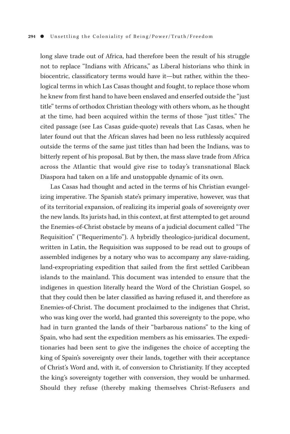long slave trade out of Africa, had therefore been the result of his struggle not to replace "Indians with Africans," as Liberal historians who think in biocentric, classificatory terms would have it—but rather, within the theological terms in which Las Casas thought and fought, to replace those whom he knew from first hand to have been enslaved and enserfed outside the "just title" terms of orthodox Christian theology with others whom, as he thought at the time, had been acquired within the terms of those "just titles." The cited passage (see Las Casas guide-quote) reveals that Las Casas, when he later found out that the African slaves had been no less ruthlessly acquired outside the terms of the same just titles than had been the Indians, was to bitterly repent of his proposal. But by then, the mass slave trade from Africa across the Atlantic that would give rise to today's transnational Black Diaspora had taken on a life and unstoppable dynamic of its own.

Las Casas had thought and acted in the terms of his Christian evangelizing imperative. The Spanish state's primary imperative, however, was that of its territorial expansion, of realizing its imperial goals of sovereignty over the new lands. Its jurists had, in this context, at first attempted to get around the Enemies-of-Christ obstacle by means of a judicial document called "The Requisition" ("Requerimento"). A hybridly theologico-juridical document, written in Latin, the Requisition was supposed to be read out to groups of assembled indigenes by a notary who was to accompany any slave-raiding, land-expropriating expedition that sailed from the first settled Caribbean islands to the mainland. This document was intended to ensure that the indigenes in question literally heard the Word of the Christian Gospel, so that they could then be later classified as having refused it, and therefore as Enemies-of-Christ. The document proclaimed to the indigenes that Christ, who was king over the world, had granted this sovereignty to the pope, who had in turn granted the lands of their "barbarous nations" to the king of Spain, who had sent the expedition members as his emissaries. The expeditionaries had been sent to give the indigenes the choice of accepting the king of Spain's sovereignty over their lands, together with their acceptance of Christ's Word and, with it, of conversion to Christianity. If they accepted the king's sovereignty together with conversion, they would be unharmed. Should they refuse (thereby making themselves Christ-Refusers and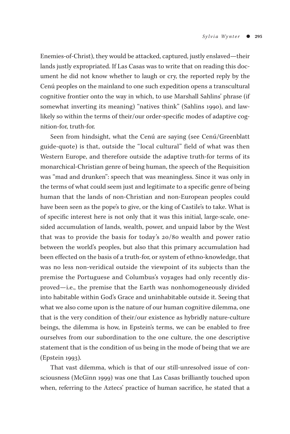Enemies-of-Christ), they would be attacked, captured, justly enslaved—their lands justly expropriated. If Las Casas was to write that on reading this document he did not know whether to laugh or cry, the reported reply by the Cenú peoples on the mainland to one such expedition opens a transcultural cognitive frontier onto the way in which, to use Marshall Sahlins' phrase (if somewhat inverting its meaning) "natives think" (Sahlins 1990), and lawlikely so within the terms of their/our order-specific modes of adaptive cognition-for, truth-for.

Seen from hindsight, what the Cenú are saying (see Cenú/Greenblatt guide-quote) is that, outside the "local cultural" field of what was then Western Europe, and therefore outside the adaptive truth-for terms of its monarchical-Christian genre of being human, the speech of the Requisition was "mad and drunken": speech that was meaningless. Since it was only in the terms of what could seem just and legitimate to a specific genre of being human that the lands of non-Christian and non-European peoples could have been seen as the pope's to give, or the king of Castile's to take. What is of specific interest here is not only that it was this initial, large-scale, onesided accumulation of lands, wealth, power, and unpaid labor by the West that was to provide the basis for today's 20/80 wealth and power ratio between the world's peoples, but also that this primary accumulation had been effected on the basis of a truth-for, or system of ethno-knowledge, that was no less non-veridical outside the viewpoint of its subjects than the premise the Portuguese and Columbus's voyages had only recently disproved—i.e., the premise that the Earth was nonhomogeneously divided into habitable within God's Grace and uninhabitable outside it. Seeing that what we also come upon is the nature of our human cognitive dilemma, one that is the very condition of their/our existence as hybridly nature-culture beings, the dilemma is how, in Epstein's terms, we can be enabled to free ourselves from our subordination to the one culture, the one descriptive statement that is the condition of us being in the mode of being that we are (Epstein 1993).

That vast dilemma, which is that of our still-unresolved issue of consciousness (McGinn 1999) was one that Las Casas brilliantly touched upon when, referring to the Aztecs' practice of human sacrifice, he stated that a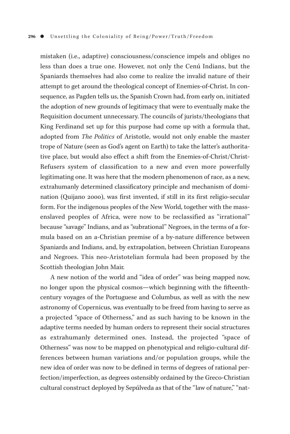mistaken (i.e., adaptive) consciousness/conscience impels and obliges no less than does a true one. However, not only the Cenú Indians, but the Spaniards themselves had also come to realize the invalid nature of their attempt to get around the theological concept of Enemies-of-Christ. In consequence, as Pagden tells us, the Spanish Crown had, from early on, initiated the adoption of new grounds of legitimacy that were to eventually make the Requisition document unnecessary. The councils of jurists/theologians that King Ferdinand set up for this purpose had come up with a formula that, adopted from *The Politics* of Aristotle, would not only enable the master trope of Nature (seen as God's agent on Earth) to take the latter's authoritative place, but would also effect a shift from the Enemies-of-Christ/Christ-Refusers system of classification to a new and even more powerfully legitimating one. It was here that the modern phenomenon of race, as a new, extrahumanly determined classificatory principle and mechanism of domination (Quijano 2000), was first invented, if still in its first religio-secular form. For the indigenous peoples of the New World, together with the massenslaved peoples of Africa, were now to be reclassified as "irrational" because "savage" Indians, and as "subrational" Negroes, in the terms of a formula based on an a-Christian premise of a by-nature difference between Spaniards and Indians, and, by extrapolation, between Christian Europeans and Negroes. This neo-Aristotelian formula had been proposed by the Scottish theologian John Mair.

A new notion of the world and "idea of order" was being mapped now, no longer upon the physical cosmos—which beginning with the fifteenthcentury voyages of the Portuguese and Columbus, as well as with the new astronomy of Copernicus, was eventually to be freed from having to serve as a projected "space of Otherness," and as such having to be known in the adaptive terms needed by human orders to represent their social structures as extrahumanly determined ones. Instead, the projected "space of Otherness" was now to be mapped on phenotypical and religio-cultural differences between human variations and/or population groups, while the new idea of order was now to be defined in terms of degrees of rational perfection/imperfection, as degrees ostensibly ordained by the Greco-Christian cultural construct deployed by Sepúlveda as that of the "law of nature," "nat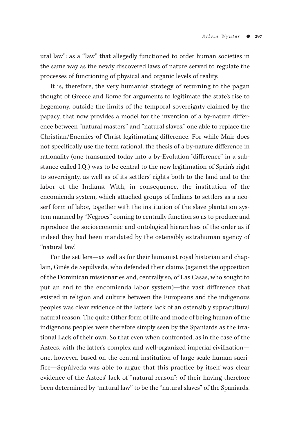ural law": as a "law" that allegedly functioned to order human societies in the same way as the newly discovered laws of nature served to regulate the processes of functioning of physical and organic levels of reality.

It is, therefore, the very humanist strategy of returning to the pagan thought of Greece and Rome for arguments to legitimate the state's rise to hegemony, outside the limits of the temporal sovereignty claimed by the papacy, that now provides a model for the invention of a by-nature difference between "natural masters" and "natural slaves," one able to replace the Christian/Enemies-of-Christ legitimating difference. For while Mair does not specifically use the term rational, the thesis of a by-nature difference in rationality (one transumed today into a by-Evolution "difference" in a substance called I.Q.) was to be central to the new legitimation of Spain's right to sovereignty, as well as of its settlers' rights both to the land and to the labor of the Indians. With, in consequence, the institution of the encomienda system, which attached groups of Indians to settlers as a neoserf form of labor, together with the institution of the slave plantation system manned by "Negroes" coming to centrally function so as to produce and reproduce the socioeconomic and ontological hierarchies of the order as if indeed they had been mandated by the ostensibly extrahuman agency of "natural law."

For the settlers—as well as for their humanist royal historian and chaplain, Ginés de Sepúlveda, who defended their claims (against the opposition of the Dominican missionaries and, centrally so, of Las Casas, who sought to put an end to the encomienda labor system)—the vast difference that existed in religion and culture between the Europeans and the indigenous peoples was clear evidence of the latter's lack of an ostensibly supracultural natural reason. The quite Other form of life and mode of being human of the indigenous peoples were therefore simply seen by the Spaniards as the irrational Lack of their own. So that even when confronted, as in the case of the Aztecs, with the latter's complex and well-organized imperial civilization one, however, based on the central institution of large-scale human sacrifice—Sepúlveda was able to argue that this practice by itself was clear evidence of the Aztecs' lack of "natural reason": of their having therefore been determined by "natural law" to be the "natural slaves" of the Spaniards.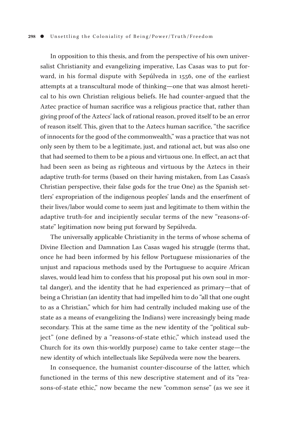In opposition to this thesis, and from the perspective of his own universalist Christianity and evangelizing imperative, Las Casas was to put forward, in his formal dispute with Sepúlveda in 1556, one of the earliest attempts at a transcultural mode of thinking—one that was almost heretical to his own Christian religious beliefs. He had counter-argued that the Aztec practice of human sacrifice was a religious practice that, rather than giving proof of the Aztecs' lack of rational reason, proved itself to be an error of reason itself. This, given that to the Aztecs human sacrifice, "the sacrifice of innocents for the good of the commonwealth," was a practice that was not only seen by them to be a legitimate, just, and rational act, but was also one that had seemed to them to be a pious and virtuous one. In effect, an act that had been seen as being as righteous and virtuous by the Aztecs in their adaptive truth-for terms (based on their having mistaken, from Las Casas's Christian perspective, their false gods for the true One) as the Spanish settlers' expropriation of the indigenous peoples' lands and the enserfment of their lives/labor would come to seem just and legitimate to them within the adaptive truth-for and incipiently secular terms of the new "reasons-ofstate" legitimation now being put forward by Sepúlveda.

The universally applicable Christianity in the terms of whose schema of Divine Election and Damnation Las Casas waged his struggle (terms that, once he had been informed by his fellow Portuguese missionaries of the unjust and rapacious methods used by the Portuguese to acquire African slaves, would lead him to confess that his proposal put his own soul in mortal danger), and the identity that he had experienced as primary—that of being a Christian (an identity that had impelled him to do "all that one ought to as a Christian," which for him had centrally included making use of the state as a means of evangelizing the Indians) were increasingly being made secondary. This at the same time as the new identity of the "political subject" (one defined by a "reasons-of-state ethic," which instead used the Church for its own this-worldly purpose) came to take center stage—the new identity of which intellectuals like Sepúlveda were now the bearers.

In consequence, the humanist counter-discourse of the latter, which functioned in the terms of this new descriptive statement and of its "reasons-of-state ethic," now became the new "common sense" (as we see it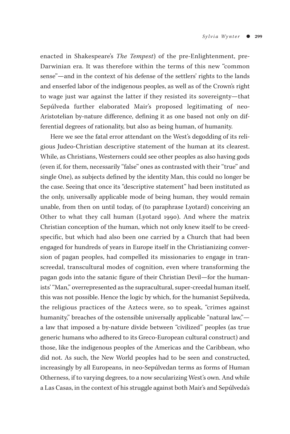enacted in Shakespeare's *The Tempest*) of the pre-Enlightenment, pre-Darwinian era. It was therefore within the terms of this new "common sense"—and in the context of his defense of the settlers' rights to the lands and enserfed labor of the indigenous peoples, as well as of the Crown's right to wage just war against the latter if they resisted its sovereignty—that Sepúlveda further elaborated Mair's proposed legitimating of neo-Aristotelian by-nature difference, defining it as one based not only on differential degrees of rationality, but also as being human, of humanity.

Here we see the fatal error attendant on the West's degodding of its religious Judeo-Christian descriptive statement of the human at its clearest. While, as Christians, Westerners could see other peoples as also having gods (even if, for them, necessarily "false" ones as contrasted with their "true" and single One), as subjects defined by the identity Man, this could no longer be the case. Seeing that once its "descriptive statement" had been instituted as the only, universally applicable mode of being human, they would remain unable, from then on until today, of (to paraphrase Lyotard) conceiving an Other to what they call human (Lyotard 1990). And where the matrix Christian conception of the human, which not only knew itself to be creedspecific, but which had also been one carried by a Church that had been engaged for hundreds of years in Europe itself in the Christianizing conversion of pagan peoples, had compelled its missionaries to engage in transcreedal, transcultural modes of cognition, even where transforming the pagan gods into the satanic figure of their Christian Devil—for the humanists' "Man," overrepresented as the supracultural, super-creedal human itself, this was not possible. Hence the logic by which, for the humanist Sepúlveda, the religious practices of the Aztecs were, so to speak, "crimes against humanity," breaches of the ostensible universally applicable "natural law,"a law that imposed a by-nature divide between "civilized" peoples (as true generic humans who adhered to its Greco-European cultural construct) and those, like the indigenous peoples of the Americas and the Caribbean, who did not. As such, the New World peoples had to be seen and constructed, increasingly by all Europeans, in neo-Sepúlvedan terms as forms of Human Otherness, if to varying degrees, to a now secularizing West's own. And while a Las Casas, in the context of his struggle against both Mair's and Sepúlveda's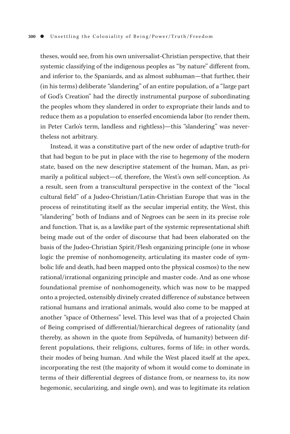theses, would see, from his own universalist-Christian perspective, that their systemic classifying of the indigenous peoples as "by nature" different from, and inferior to, the Spaniards, and as almost subhuman—that further, their (in his terms) deliberate "slandering" of an entire population, of a "large part of God's Creation" had the directly instrumental purpose of subordinating the peoples whom they slandered in order to expropriate their lands and to reduce them as a population to enserfed encomienda labor (to render them, in Peter Carlo's term, landless and rightless)—this "slandering" was nevertheless not arbitrary.

Instead, it was a constitutive part of the new order of adaptive truth-for that had begun to be put in place with the rise to hegemony of the modern state, based on the new descriptive statement of the human, Man, as primarily a political subject—of, therefore, the West's own self-conception. As a result, seen from a transcultural perspective in the context of the "local cultural field" of a Judeo-Christian/Latin-Christian Europe that was in the process of reinstituting itself as the secular imperial entity, the West, this "slandering" both of Indians and of Negroes can be seen in its precise role and function. That is, as a lawlike part of the systemic representational shift being made out of the order of discourse that had been elaborated on the basis of the Judeo-Christian Spirit/Flesh organizing principle (one in whose logic the premise of nonhomogeneity, articulating its master code of symbolic life and death, had been mapped onto the physical cosmos) to the new rational/irrational organizing principle and master code. And as one whose foundational premise of nonhomogeneity, which was now to be mapped onto a projected, ostensibly divinely created difference of substance between rational humans and irrational animals, would also come to be mapped at another "space of Otherness" level. This level was that of a projected Chain of Being comprised of differential/hierarchical degrees of rationality (and thereby, as shown in the quote from Sepúlveda, of humanity) between different populations, their religions, cultures, forms of life; in other words, their modes of being human. And while the West placed itself at the apex, incorporating the rest (the majority of whom it would come to dominate in terms of their differential degrees of distance from, or nearness to, its now hegemonic, secularizing, and single own), and was to legitimate its relation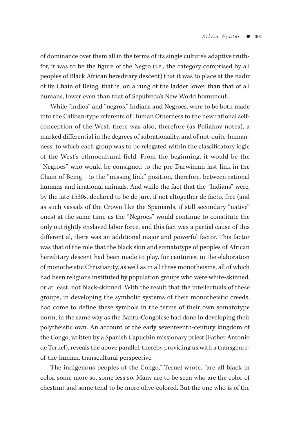of dominance over them all in the terms of its single culture's adaptive truthfor, it was to be the figure of the Negro (i.e., the category comprised by all peoples of Black African hereditary descent) that it was to place at the nadir of its Chain of Being; that is, on a rung of the ladder lower than that of all humans, lower even than that of Sepúlveda's New World homunculi.

While "indios" and "negros," Indians and Negroes, were to be both made into the Caliban-type referents of Human Otherness to the new rational selfconception of the West, there was also, therefore (as Poliakov notes), a marked differential in the degrees of subrationality, and of not-quite-humanness, to which each group was to be relegated within the classificatory logic of the West's ethnocultural field. From the beginning, it would be the "Negroes" who would be consigned to the pre-Darwinian last link in the Chain of Being—to the "missing link" position, therefore, between rational humans and irrational animals. And while the fact that the "Indians" were, by the late 1530s, declared to be de jure, if not altogether de facto, free (and as such vassals of the Crown like the Spaniards, if still secondary "native" ones) at the same time as the "Negroes" would continue to constitute the only outrightly enslaved labor force, and this fact was a partial cause of this differential, there was an additional major and powerful factor. This factor was that of the role that the black skin and somatotype of peoples of African hereditary descent had been made to play, for centuries, in the elaboration of monotheistic Christianity, as well as in all three monotheisms, all of which had been religions instituted by population groups who were white-skinned, or at least, not black-skinned. With the result that the intellectuals of these groups, in developing the symbolic systems of their monotheistic creeds, had come to define these symbols in the terms of their own somatotype norm, in the same way as the Bantu-Congolese had done in developing their polytheistic own. An account of the early seventeenth-century kingdom of the Congo, written by a Spanish Capuchin missionary priest (Father Antonio de Teruel), reveals the above parallel, thereby providing us with a transgenreof-the-human, transcultural perspective.

The indigenous peoples of the Congo," Teruel wrote, "are all black in color, some more so, some less so. Many are to be seen who are the color of chestnut and some tend to be more olive-colored. But the one who is of the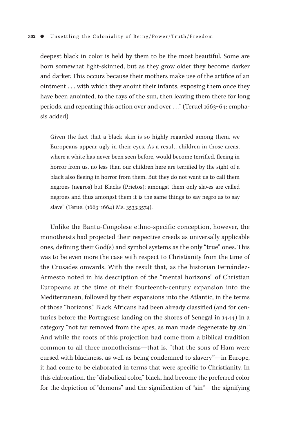deepest black in color is held by them to be the most beautiful. Some are born somewhat light-skinned, but as they grow older they become darker and darker. This occurs because their mothers make use of the artifice of an ointment . . . with which they anoint their infants, exposing them once they have been anointed, to the rays of the sun, then leaving them there for long periods, and repeating this action over and over ..." (Teruel 1663-64; emphasis added)

Given the fact that a black skin is so highly regarded among them, we Europeans appear ugly in their eyes. As a result, children in those areas, where a white has never been seen before, would become terrified, fleeing in horror from us, no less than our children here are terrified by the sight of a black also fleeing in horror from them. But they do not want us to call them negroes (negros) but Blacks (Prietos); amongst them only slaves are called negroes and thus amongst them it is the same things to say negro as to say slave" (Teruel (1663-1664) Ms. 3533:3574).

Unlike the Bantu-Congolese ethno-specific conception, however, the monotheists had projected their respective creeds as universally applicable ones, defining their God(s) and symbol systems as the only "true" ones. This was to be even more the case with respect to Christianity from the time of the Crusades onwards. With the result that, as the historian Fernández-Armesto noted in his description of the "mental horizons" of Christian Europeans at the time of their fourteenth-century expansion into the Mediterranean, followed by their expansions into the Atlantic, in the terms of those "horizons," Black Africans had been already classified (and for centuries before the Portuguese landing on the shores of Senegal in 1444) in a category "not far removed from the apes, as man made degenerate by sin." And while the roots of this projection had come from a biblical tradition common to all three monotheisms—that is, "that the sons of Ham were cursed with blackness, as well as being condemned to slavery"—in Europe, it had come to be elaborated in terms that were specific to Christianity. In this elaboration, the "diabolical color," black, had become the preferred color for the depiction of "demons" and the signification of "sin"—the signifying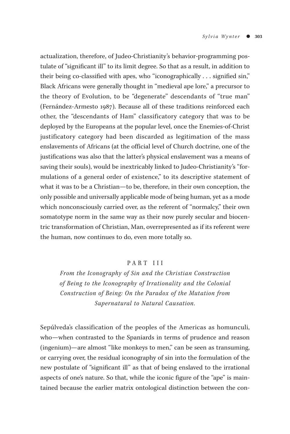actualization, therefore, of Judeo-Christianity's behavior-programming postulate of "significant ill" to its limit degree. So that as a result, in addition to their being co-classified with apes, who "iconographically . . . signified sin," Black Africans were generally thought in "medieval ape lore," a precursor to the theory of Evolution, to be "degenerate" descendants of "true man" (Fernández-Armesto 1987). Because all of these traditions reinforced each other, the "descendants of Ham" classificatory category that was to be deployed by the Europeans at the popular level, once the Enemies-of-Christ justificatory category had been discarded as legitimation of the mass enslavements of Africans (at the official level of Church doctrine, one of the justifications was also that the latter's physical enslavement was a means of saving their souls), would be inextricably linked to Judeo-Christianity's "formulations of a general order of existence," to its descriptive statement of what it was to be a Christian—to be, therefore, in their own conception, the only possible and universally applicable mode of being human, yet as a mode which nonconsciously carried over, as the referent of "normalcy," their own somatotype norm in the same way as their now purely secular and biocentric transformation of Christian, Man, overrepresented as if its referent were the human, now continues to do, even more totally so.

# PART III

*From the Iconography of Sin and the Christian Construction of Being to the Iconography of Irrationality and the Colonial Construction of Being: On the Paradox of the Mutation from Supernatural to Natural Causation.*

Sepúlveda's classification of the peoples of the Americas as homunculi, who—when contrasted to the Spaniards in terms of prudence and reason (ingenium)—are almost "like monkeys to men," can be seen as transuming, or carrying over, the residual iconography of sin into the formulation of the new postulate of "significant ill" as that of being enslaved to the irrational aspects of one's nature. So that, while the iconic figure of the "ape" is maintained because the earlier matrix ontological distinction between the con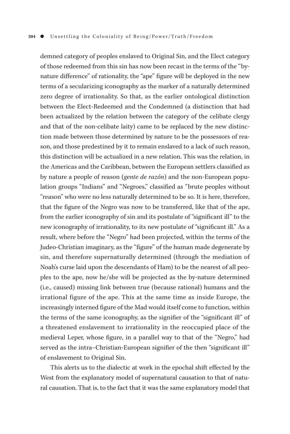demned category of peoples enslaved to Original Sin, and the Elect category of those redeemed from this sin has now been recast in the terms of the "bynature difference" of rationality, the "ape" figure will be deployed in the new terms of a secularizing iconography as the marker of a naturally determined zero degree of irrationality. So that, as the earlier ontological distinction between the Elect-Redeemed and the Condemned (a distinction that had been actualized by the relation between the category of the celibate clergy and that of the non-celibate laity) came to be replaced by the new distinction made between those determined by nature to be the possessors of reason, and those predestined by it to remain enslaved to a lack of such reason, this distinction will be actualized in a new relation. This was the relation, in the Americas and the Caribbean, between the European settlers classified as by nature a people of reason (*gente de razón*) and the non-European population groups "Indians" and "Negroes," classified as "brute peoples without "reason" who were no less naturally determined to be so. It is here, therefore, that the figure of the Negro was now to be transferred, like that of the ape, from the earlier iconography of sin and its postulate of "significant ill" to the new iconography of irrationality, to its new postulate of "significant ill." As a result, where before the "Negro" had been projected, within the terms of the Judeo-Christian imaginary, as the "figure" of the human made degenerate by sin, and therefore supernaturally determined (through the mediation of Noah's curse laid upon the descendants of Ham) to be the nearest of all peoples to the ape, now he/she will be projected as the by-nature determined (i.e., caused) missing link between true (because rational) humans and the irrational figure of the ape. This at the same time as inside Europe, the increasingly interned figure of the Mad would itself come to function, within the terms of the same iconography, as the signifier of the "significant ill" of a threatened enslavement to irrationality in the reoccupied place of the medieval Leper, whose figure, in a parallel way to that of the "Negro," had served as the intra–Christian-European signifier of the then "significant ill" of enslavement to Original Sin.

This alerts us to the dialectic at work in the epochal shift effected by the West from the explanatory model of supernatural causation to that of natural causation. That is, to the fact that it was the same explanatory model that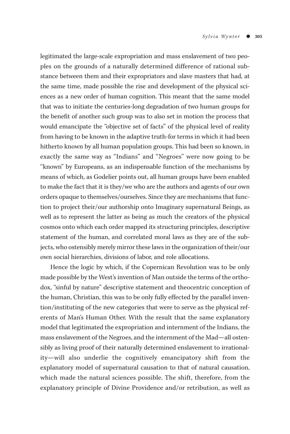legitimated the large-scale expropriation and mass enslavement of two peoples on the grounds of a naturally determined difference of rational substance between them and their expropriators and slave masters that had, at the same time, made possible the rise and development of the physical sciences as a new order of human cognition. This meant that the same model that was to initiate the centuries-long degradation of two human groups for the benefit of another such group was to also set in motion the process that would emancipate the "objective set of facts" of the physical level of reality from having to be known in the adaptive truth-for terms in which it had been hitherto known by all human population groups. This had been so known, in exactly the same way as "Indians" and "Negroes" were now going to be "known" by Europeans, as an indispensable function of the mechanisms by means of which, as Godelier points out, all human groups have been enabled to make the fact that it is they/we who are the authors and agents of our own orders opaque to themselves/ourselves. Since they are mechanisms that function to project their/our authorship onto Imaginary supernatural Beings, as well as to represent the latter as being as much the creators of the physical cosmos onto which each order mapped its structuring principles, descriptive statement of the human, and correlated moral laws as they are of the subjects, who ostensibly merely mirror these laws in the organization of their/our own social hierarchies, divisions of labor, and role allocations.

Hence the logic by which, if the Copernican Revolution was to be only made possible by the West's invention of Man outside the terms of the orthodox, "sinful by nature" descriptive statement and theocentric conception of the human, Christian, this was to be only fully effected by the parallel invention/instituting of the new categories that were to serve as the physical referents of Man's Human Other. With the result that the same explanatory model that legitimated the expropriation and internment of the Indians, the mass enslavement of the Negroes, and the internment of the Mad—all ostensibly as living proof of their naturally determined enslavement to irrationality—will also underlie the cognitively emancipatory shift from the explanatory model of supernatural causation to that of natural causation, which made the natural sciences possible. The shift, therefore, from the explanatory principle of Divine Providence and/or retribution, as well as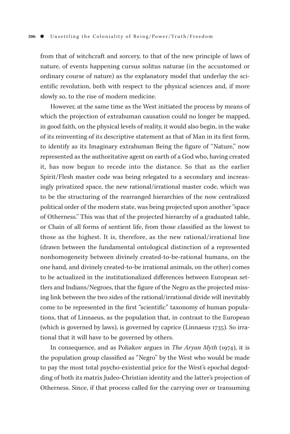from that of witchcraft and sorcery, to that of the new principle of laws of nature, of events happening cursus solitus naturae (in the accustomed or ordinary course of nature) as the explanatory model that underlay the scientific revolution, both with respect to the physical sciences and, if more slowly so, to the rise of modern medicine.

However, at the same time as the West initiated the process by means of which the projection of extrahuman causation could no longer be mapped, in good faith, on the physical levels of reality, it would also begin, in the wake of its reinventing of its descriptive statement as that of Man in its first form, to identify as its Imaginary extrahuman Being the figure of "Nature," now represented as the authoritative agent on earth of a God who, having created it, has now begun to recede into the distance. So that as the earlier Spirit/Flesh master code was being relegated to a secondary and increasingly privatized space, the new rational/irrational master code, which was to be the structuring of the rearranged hierarchies of the now centralized political order of the modern state, was being projected upon another "space of Otherness." This was that of the projected hierarchy of a graduated table, or Chain of all forms of sentient life, from those classified as the lowest to those as the highest. It is, therefore, as the new rational/irrational line (drawn between the fundamental ontological distinction of a represented nonhomogeneity between divinely created-to-be-rational humans, on the one hand, and divinely created-to-be irrational animals, on the other) comes to be actualized in the institutionalized differences between European settlers and Indians/Negroes, that the figure of the Negro as the projected missing link between the two sides of the rational/irrational divide will inevitably come to be represented in the first "scientific" taxonomy of human populations, that of Linnaeus, as the population that, in contrast to the European (which is governed by laws), is governed by caprice (Linnaeus 1735). So irrational that it will have to be governed by others.

In consequence, and as Poliakov argues in *The Aryan Myth* (1974), it is the population group classified as "Negro" by the West who would be made to pay the most total psycho-existential price for the West's epochal degodding of both its matrix Judeo-Christian identity and the latter's projection of Otherness. Since, if that process called for the carrying over or transuming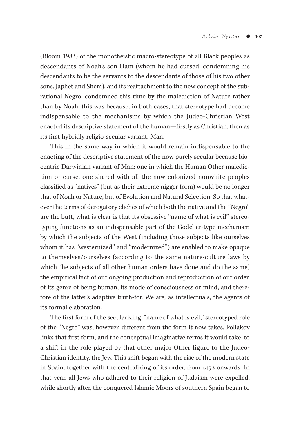(Bloom 1983) of the monotheistic macro-stereotype of all Black peoples as descendants of Noah's son Ham (whom he had cursed, condemning his descendants to be the servants to the descendants of those of his two other sons, Japhet and Shem), and its reattachment to the new concept of the subrational Negro, condemned this time by the malediction of Nature rather than by Noah, this was because, in both cases, that stereotype had become indispensable to the mechanisms by which the Judeo-Christian West enacted its descriptive statement of the human—firstly as Christian, then as its first hybridly religio-secular variant, Man.

This in the same way in which it would remain indispensable to the enacting of the descriptive statement of the now purely secular because biocentric Darwinian variant of Man: one in which the Human Other malediction or curse, one shared with all the now colonized nonwhite peoples classified as "natives" (but as their extreme nigger form) would be no longer that of Noah or Nature, but of Evolution and Natural Selection. So that whatever the terms of derogatory clichés of which both the native and the "Negro" are the butt, what is clear is that its obsessive "name of what is evil" stereotyping functions as an indispensable part of the Godelier-type mechanism by which the subjects of the West (including those subjects like ourselves whom it has "westernized" and "modernized") are enabled to make opaque to themselves/ourselves (according to the same nature-culture laws by which the subjects of all other human orders have done and do the same) the empirical fact of our ongoing production and reproduction of our order, of its genre of being human, its mode of consciousness or mind, and therefore of the latter's adaptive truth-for. We are, as intellectuals, the agents of its formal elaboration.

The first form of the secularizing, "name of what is evil," stereotyped role of the "Negro" was, however, different from the form it now takes. Poliakov links that first form, and the conceptual imaginative terms it would take, to a shift in the role played by that other major Other figure to the Judeo-Christian identity, the Jew. This shift began with the rise of the modern state in Spain, together with the centralizing of its order, from 1492 onwards. In that year, all Jews who adhered to their religion of Judaism were expelled, while shortly after, the conquered Islamic Moors of southern Spain began to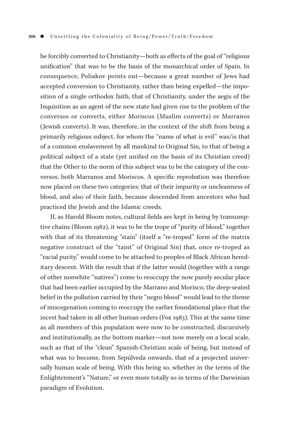be forcibly converted to Christianity—both as effects of the goal of "religious unification" that was to be the basis of the monarchical order of Spain. In consequence, Poliakov points out—because a great number of Jews had accepted conversion to Christianity, rather than being expelled—the imposition of a single orthodox faith, that of Christianity, under the aegis of the Inquisition as an agent of the new state had given rise to the problem of the conversos or converts, either Moriscos (Muslim converts) or Marranos (Jewish converts). It was, therefore, in the context of the shift from being a primarily religious subject, for whom the "name of what is evil" was/is that of a common enslavement by all mankind to Original Sin, to that of being a political subject of a state (yet unified on the basis of its Christian creed) that the Other to the norm of this subject was to be the category of the conversos, both Marranos and Moriscos. A specific reprobation was therefore now placed on these two categories: that of their impurity or uncleanness of blood, and also of their faith, because descended from ancestors who had practiced the Jewish and the Islamic creeds.

If, as Harold Bloom notes, cultural fields are kept in being by transumptive chains (Bloom 1982), it was to be the trope of "purity of blood," together with that of its threatening "stain" (itself a "re-troped" form of the matrix negative construct of the "taint" of Original Sin) that, once re-troped as "racial purity," would come to be attached to peoples of Black African hereditary descent. With the result that if the latter would (together with a range of other nonwhite "natives") come to reoccupy the now purely secular place that had been earlier occupied by the Marrano and Morisco, the deep-seated belief in the pollution carried by their "negro blood" would lead to the theme of miscegenation coming to reoccupy the earlier foundational place that the incest had taken in all other human orders (Fox 1983). This at the same time as all members of this population were now to be constructed, discursively and institutionally, as the bottom marker—not now merely on a local scale, such as that of the "clean" Spanish-Christian scale of being, but instead of what was to become, from Sepúlveda onwards, that of a projected universally human scale of being. With this being so, whether in the terms of the Enlightenment's "Nature," or even more totally so in terms of the Darwinian paradigm of Evolution.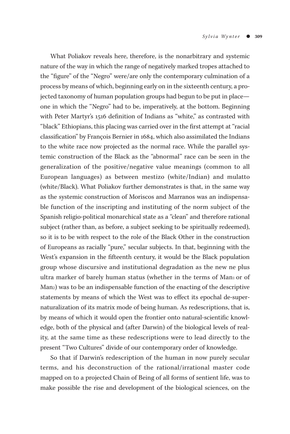What Poliakov reveals here, therefore, is the nonarbitrary and systemic nature of the way in which the range of negatively marked tropes attached to the "figure" of the "Negro" were/are only the contemporary culmination of a process by means of which, beginning early on in the sixteenth century, a projected taxonomy of human population groups had begun to be put in place one in which the "Negro" had to be, imperatively, at the bottom. Beginning with Peter Martyr's 1516 definition of Indians as "white," as contrasted with "black" Ethiopians, this placing was carried over in the first attempt at "racial classification" by François Bernier in 1684, which also assimilated the Indians to the white race now projected as the normal race. While the parallel systemic construction of the Black as the "abnormal" race can be seen in the generalization of the positive/negative value meanings (common to all European languages) as between mestizo (white/Indian) and mulatto (white/Black). What Poliakov further demonstrates is that, in the same way as the systemic construction of Moriscos and Marranos was an indispensable function of the inscripting and instituting of the norm subject of the Spanish religio-political monarchical state as a "clean" and therefore rational subject (rather than, as before, a subject seeking to be spiritually redeemed), so it is to be with respect to the role of the Black Other in the construction of Europeans as racially "pure," secular subjects. In that, beginning with the West's expansion in the fifteenth century, it would be the Black population group whose discursive and institutional degradation as the new ne plus ultra marker of barely human status (whether in the terms of Man<sub>1</sub> or of Man2) was to be an indispensable function of the enacting of the descriptive statements by means of which the West was to effect its epochal de-supernaturalization of its matrix mode of being human. As redescriptions, that is, by means of which it would open the frontier onto natural-scientific knowledge, both of the physical and (after Darwin) of the biological levels of reality, at the same time as these redescriptions were to lead directly to the present "Two Cultures" divide of our contemporary order of knowledge.

So that if Darwin's redescription of the human in now purely secular terms, and his deconstruction of the rational/irrational master code mapped on to a projected Chain of Being of all forms of sentient life, was to make possible the rise and development of the biological sciences, on the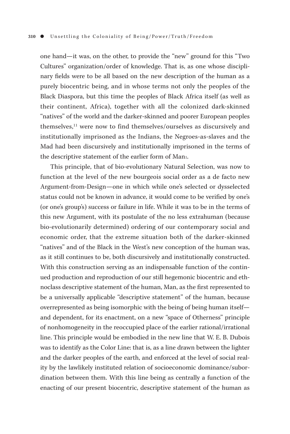one hand—it was, on the other, to provide the "new" ground for this "Two Cultures" organization/order of knowledge. That is, as one whose disciplinary fields were to be all based on the new description of the human as a purely biocentric being, and in whose terms not only the peoples of the Black Diaspora, but this time the peoples of Black Africa itself (as well as their continent, Africa), together with all the colonized dark-skinned "natives" of the world and the darker-skinned and poorer European peoples themselves,11 were now to find themselves/ourselves as discursively and institutionally imprisoned as the Indians, the Negroes-as-slaves and the Mad had been discursively and institutionally imprisoned in the terms of the descriptive statement of the earlier form of Man<sub>1</sub>.

This principle, that of bio-evolutionary Natural Selection, was now to function at the level of the new bourgeois social order as a de facto new Argument-from-Design—one in which while one's selected or dysselected status could not be known in advance, it would come to be verified by one's (or one's group's) success or failure in life. While it was to be in the terms of this new Argument, with its postulate of the no less extrahuman (because bio-evolutionarily determined) ordering of our contemporary social and economic order, that the extreme situation both of the darker-skinned "natives" and of the Black in the West's new conception of the human was, as it still continues to be, both discursively and institutionally constructed. With this construction serving as an indispensable function of the continued production and reproduction of our still hegemonic biocentric and ethnoclass descriptive statement of the human, Man, as the first represented to be a universally applicable "descriptive statement" of the human, because overrepresented as being isomorphic with the being of being human itself and dependent, for its enactment, on a new "space of Otherness" principle of nonhomogeneity in the reoccupied place of the earlier rational/irrational line. This principle would be embodied in the new line that W. E. B. Dubois was to identify as the Color Line: that is, as a line drawn between the lighter and the darker peoples of the earth, and enforced at the level of social reality by the lawlikely instituted relation of socioeconomic dominance/subordination between them. With this line being as centrally a function of the enacting of our present biocentric, descriptive statement of the human as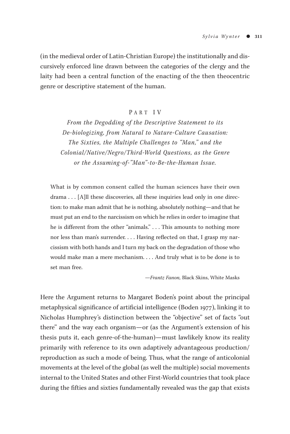(in the medieval order of Latin-Christian Europe) the institutionally and discursively enforced line drawn between the categories of the clergy and the laity had been a central function of the enacting of the then theocentric genre or descriptive statement of the human.

## P ART I V

*From the Degodding of the Descriptive Statement to its De-biologizing, from Natural to Nature-Culture Causation: The Sixties, the Multiple Challenges to "Man," and the Colonial/Native/Negro/Third-World Questions, as the Genre or the Assuming-of-"Man"-to-Be-the-Human Issue.*

What is by common consent called the human sciences have their own drama . . . [A]ll these discoveries, all these inquiries lead only in one direction: to make man admit that he is nothing, absolutely nothing—and that he must put an end to the narcissism on which he relies in order to imagine that he is different from the other "animals." . . . This amounts to nothing more nor less than man's surrender. . . . Having reflected on that, I grasp my narcissism with both hands and I turn my back on the degradation of those who would make man a mere mechanism. . . . And truly what is to be done is to set man free.

*—Frantz Fanon,* Black Skins, White Masks

Here the Argument returns to Margaret Boden's point about the principal metaphysical significance of artificial intelligence (Boden 1977), linking it to Nicholas Humphrey's distinction between the "objective" set of facts "out there" and the way each organism—or (as the Argument's extension of his thesis puts it, each genre-of-the-human)—must lawlikely know its reality primarily with reference to its own adaptively advantageous production/ reproduction as such a mode of being. Thus, what the range of anticolonial movements at the level of the global (as well the multiple) social movements internal to the United States and other First-World countries that took place during the fifties and sixties fundamentally revealed was the gap that exists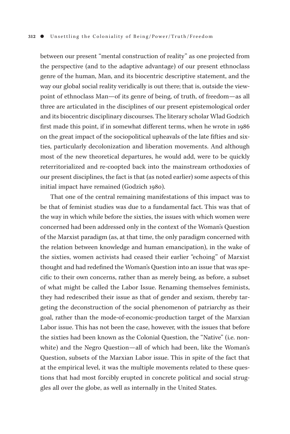between our present "mental construction of reality" as one projected from the perspective (and to the adaptive advantage) of our present ethnoclass genre of the human, Man, and its biocentric descriptive statement, and the way our global social reality veridically is out there; that is, outside the viewpoint of ethnoclass Man—of its genre of being, of truth, of freedom—as all three are articulated in the disciplines of our present epistemological order and its biocentric disciplinary discourses. The literary scholar Wlad Godzich first made this point, if in somewhat different terms, when he wrote in 1986 on the great impact of the sociopolitical upheavals of the late fifties and sixties, particularly decolonization and liberation movements. And although most of the new theoretical departures, he would add, were to be quickly reterritorialized and re-coopted back into the mainstream orthodoxies of our present disciplines, the fact is that (as noted earlier) some aspects of this initial impact have remained (Godzich 1980).

That one of the central remaining manifestations of this impact was to be that of feminist studies was due to a fundamental fact. This was that of the way in which while before the sixties, the issues with which women were concerned had been addressed only in the context of the Woman's Question of the Marxist paradigm (as, at that time, the only paradigm concerned with the relation between knowledge and human emancipation), in the wake of the sixties, women activists had ceased their earlier "echoing" of Marxist thought and had redefined the Woman's Question into an issue that was specific to their own concerns, rather than as merely being, as before, a subset of what might be called the Labor Issue. Renaming themselves feminists, they had redescribed their issue as that of gender and sexism, thereby targeting the deconstruction of the social phenomenon of patriarchy as their goal, rather than the mode-of-economic-production target of the Marxian Labor issue. This has not been the case, however, with the issues that before the sixties had been known as the Colonial Question, the "Native" (i.e. nonwhite) and the Negro Question—all of which had been, like the Woman's Question, subsets of the Marxian Labor issue. This in spite of the fact that at the empirical level, it was the multiple movements related to these questions that had most forcibly erupted in concrete political and social struggles all over the globe, as well as internally in the United States.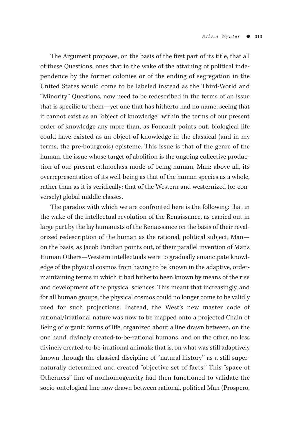The Argument proposes, on the basis of the first part of its title, that all of these Questions, ones that in the wake of the attaining of political independence by the former colonies or of the ending of segregation in the United States would come to be labeled instead as the Third-World and "Minority" Questions, now need to be redescribed in the terms of an issue that is specific to them—yet one that has hitherto had no name, seeing that it cannot exist as an "object of knowledge" within the terms of our present order of knowledge any more than, as Foucault points out, biological life could have existed as an object of knowledge in the classical (and in my terms, the pre-bourgeois) episteme. This issue is that of the genre of the human, the issue whose target of abolition is the ongoing collective production of our present ethnoclass mode of being human, Man: above all, its overrepresentation of its well-being as that of the human species as a whole, rather than as it is veridically: that of the Western and westernized (or conversely) global middle classes.

The paradox with which we are confronted here is the following: that in the wake of the intellectual revolution of the Renaissance, as carried out in large part by the lay humanists of the Renaissance on the basis of their revalorized redescription of the human as the rational, political subject, Man on the basis, as Jacob Pandian points out, of their parallel invention of Man's Human Others—Western intellectuals were to gradually emancipate knowledge of the physical cosmos from having to be known in the adaptive, ordermaintaining terms in which it had hitherto been known by means of the rise and development of the physical sciences. This meant that increasingly, and for all human groups, the physical cosmos could no longer come to be validly used for such projections. Instead, the West's new master code of rational/irrational nature was now to be mapped onto a projected Chain of Being of organic forms of life, organized about a line drawn between, on the one hand, divinely created-to-be-rational humans, and on the other, no less divinely created-to-be-irrational animals; that is, on what was still adaptively known through the classical discipline of "natural history" as a still supernaturally determined and created "objective set of facts." This "space of Otherness" line of nonhomogeneity had then functioned to validate the socio-ontological line now drawn between rational, political Man (Prospero,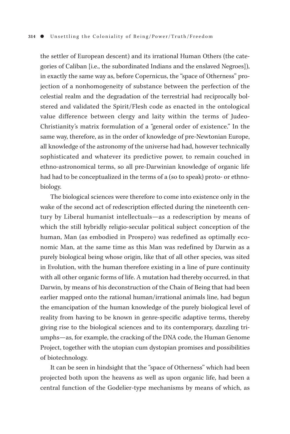the settler of European descent) and its irrational Human Others (the categories of Caliban [i.e., the subordinated Indians and the enslaved Negroes]), in exactly the same way as, before Copernicus, the "space of Otherness" projection of a nonhomogeneity of substance between the perfection of the celestial realm and the degradation of the terrestrial had reciprocally bolstered and validated the Spirit/Flesh code as enacted in the ontological value difference between clergy and laity within the terms of Judeo-Christianity's matrix formulation of a "general order of existence." In the same way, therefore, as in the order of knowledge of pre-Newtonian Europe, all knowledge of the astronomy of the universe had had, however technically sophisticated and whatever its predictive power, to remain couched in ethno-astronomical terms, so all pre-Darwinian knowledge of organic life had had to be conceptualized in the terms of a (so to speak) proto- or ethnobiology.

The biological sciences were therefore to come into existence only in the wake of the second act of redescription effected during the nineteenth century by Liberal humanist intellectuals—as a redescription by means of which the still hybridly religio-secular political subject conception of the human, Man (as embodied in Prospero) was redefined as optimally economic Man, at the same time as this Man was redefined by Darwin as a purely biological being whose origin, like that of all other species, was sited in Evolution, with the human therefore existing in a line of pure continuity with all other organic forms of life. A mutation had thereby occurred, in that Darwin, by means of his deconstruction of the Chain of Being that had been earlier mapped onto the rational human/irrational animals line, had begun the emancipation of the human knowledge of the purely biological level of reality from having to be known in genre-specific adaptive terms, thereby giving rise to the biological sciences and to its contemporary, dazzling triumphs—as, for example, the cracking of the DNA code, the Human Genome Project, together with the utopian cum dystopian promises and possibilities of biotechnology.

It can be seen in hindsight that the "space of Otherness" which had been projected both upon the heavens as well as upon organic life, had been a central function of the Godelier-type mechanisms by means of which, as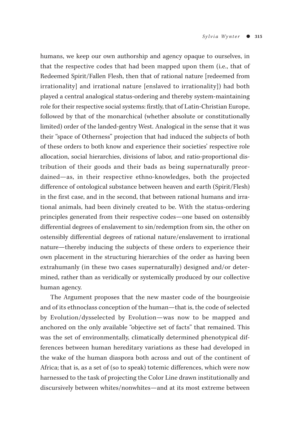humans, we keep our own authorship and agency opaque to ourselves, in that the respective codes that had been mapped upon them (i.e., that of Redeemed Spirit/Fallen Flesh, then that of rational nature [redeemed from irrationality] and irrational nature [enslaved to irrationality]) had both played a central analogical status-ordering and thereby system-maintaining role for their respective social systems: firstly, that of Latin-Christian Europe, followed by that of the monarchical (whether absolute or constitutionally limited) order of the landed-gentry West. Analogical in the sense that it was their "space of Otherness" projection that had induced the subjects of both of these orders to both know and experience their societies' respective role allocation, social hierarchies, divisions of labor, and ratio-proportional distribution of their goods and their bads as being supernaturally preordained—as, in their respective ethno-knowledges, both the projected difference of ontological substance between heaven and earth (Spirit/Flesh) in the first case, and in the second, that between rational humans and irrational animals, had been divinely created to be. With the status-ordering principles generated from their respective codes—one based on ostensibly differential degrees of enslavement to sin/redemption from sin, the other on ostensibly differential degrees of rational nature/enslavement to irrational nature—thereby inducing the subjects of these orders to experience their own placement in the structuring hierarchies of the order as having been extrahumanly (in these two cases supernaturally) designed and/or determined, rather than as veridically or systemically produced by our collective human agency.

The Argument proposes that the new master code of the bourgeoisie and of its ethnoclass conception of the human—that is, the code of selected by Evolution/dysselected by Evolution—was now to be mapped and anchored on the only available "objective set of facts" that remained. This was the set of environmentally, climatically determined phenotypical differences between human hereditary variations as these had developed in the wake of the human diaspora both across and out of the continent of Africa; that is, as a set of (so to speak) totemic differences, which were now harnessed to the task of projecting the Color Line drawn institutionally and discursively between whites/nonwhites—and at its most extreme between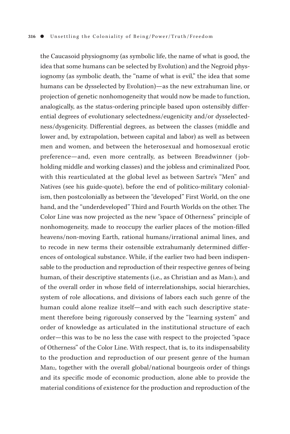the Caucasoid physiognomy (as symbolic life, the name of what is good, the idea that some humans can be selected by Evolution) and the Negroid physiognomy (as symbolic death, the "name of what is evil," the idea that some humans can be dysselected by Evolution)—as the new extrahuman line, or projection of genetic nonhomogeneity that would now be made to function, analogically, as the status-ordering principle based upon ostensibly differential degrees of evolutionary selectedness/eugenicity and/or dysselectedness/dysgenicity. Differential degrees, as between the classes (middle and lower and, by extrapolation, between capital and labor) as well as between men and women, and between the heterosexual and homosexual erotic preference—and, even more centrally, as between Breadwinner (jobholding middle and working classes) and the jobless and criminalized Poor, with this rearticulated at the global level as between Sartre's "Men" and Natives (see his guide-quote), before the end of politico-military colonialism, then postcolonially as between the "developed" First World, on the one hand, and the "underdeveloped" Third and Fourth Worlds on the other. The Color Line was now projected as the new "space of Otherness" principle of nonhomogeneity, made to reoccupy the earlier places of the motion-filled heavens/non-moving Earth, rational humans/irrational animal lines, and to recode in new terms their ostensible extrahumanly determined differences of ontological substance. While, if the earlier two had been indispensable to the production and reproduction of their respective genres of being human, of their descriptive statements (i.e., as Christian and as Man1), and of the overall order in whose field of interrelationships, social hierarchies, system of role allocations, and divisions of labors each such genre of the human could alone realize itself—and with each such descriptive statement therefore being rigorously conserved by the "learning system" and order of knowledge as articulated in the institutional structure of each order—this was to be no less the case with respect to the projected "space of Otherness" of the Color Line. With respect, that is, to its indispensability to the production and reproduction of our present genre of the human Man2, together with the overall global/national bourgeois order of things and its specific mode of economic production, alone able to provide the material conditions of existence for the production and reproduction of the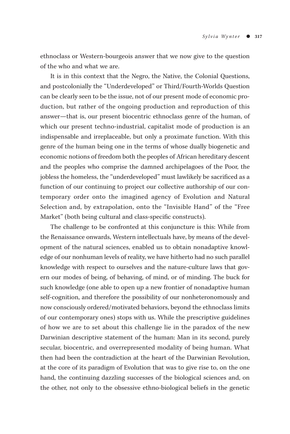ethnoclass or Western-bourgeois answer that we now give to the question of the who and what we are.

It is in this context that the Negro, the Native, the Colonial Questions, and postcolonially the "Underdeveloped" or Third/Fourth-Worlds Question can be clearly seen to be the issue, not of our present mode of economic production, but rather of the ongoing production and reproduction of this answer—that is, our present biocentric ethnoclass genre of the human, of which our present techno-industrial, capitalist mode of production is an indispensable and irreplaceable, but only a proximate function. With this genre of the human being one in the terms of whose dually biogenetic and economic notions of freedom both the peoples of African hereditary descent and the peoples who comprise the damned archipelagoes of the Poor, the jobless the homeless, the "underdeveloped" must lawlikely be sacrificed as a function of our continuing to project our collective authorship of our contemporary order onto the imagined agency of Evolution and Natural Selection and, by extrapolation, onto the "Invisible Hand" of the "Free Market" (both being cultural and class-specific constructs).

The challenge to be confronted at this conjuncture is this: While from the Renaissance onwards, Western intellectuals have, by means of the development of the natural sciences, enabled us to obtain nonadaptive knowledge of our nonhuman levels of reality, we have hitherto had no such parallel knowledge with respect to ourselves and the nature-culture laws that govern our modes of being, of behaving, of mind, or of minding. The buck for such knowledge (one able to open up a new frontier of nonadaptive human self-cognition, and therefore the possibility of our nonheteronomously and now consciously ordered/motivated behaviors, beyond the ethnoclass limits of our contemporary ones) stops with us. While the prescriptive guidelines of how we are to set about this challenge lie in the paradox of the new Darwinian descriptive statement of the human: Man in its second, purely secular, biocentric, and overrepresented modality of being human. What then had been the contradiction at the heart of the Darwinian Revolution, at the core of its paradigm of Evolution that was to give rise to, on the one hand, the continuing dazzling successes of the biological sciences and, on the other, not only to the obsessive ethno-biological beliefs in the genetic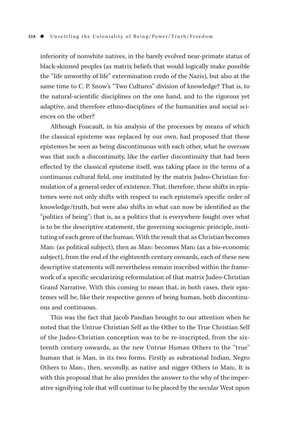inferiority of nonwhite natives, in the barely evolved near-primate status of black-skinned peoples (as matrix beliefs that would logically make possible the "life unworthy of life" extermination credo of the Nazis), but also at the same time to C. P. Snow's "Two Cultures" division of knowledge? That is, to the natural-scientific disciplines on the one hand, and to the rigorous yet adaptive, and therefore ethno-disciplines of the humanities and social sciences on the other?

Although Foucault, in his analysis of the processes by means of which the classical episteme was replaced by our own, had proposed that these epistemes be seen as being discontinuous with each other, what he oversaw was that such a discontinuity, like the earlier discontinuity that had been effected by the classical episteme itself, was taking place in the terms of a continuous cultural field, one instituted by the matrix Judeo-Christian formulation of a general order of existence. That, therefore, these shifts in epistemes were not only shifts with respect to each episteme's specific order of knowledge/truth, but were also shifts in what can now be identified as the "politics of being"; that is, as a politics that is everywhere fought over what is to be the descriptive statement, the governing sociogenic principle, instituting of each genre of the human. With the result that as Christian becomes Man<sub>1</sub> (as political subject), then as Man<sub>1</sub> becomes Man<sub>2</sub> (as a bio-economic subject), from the end of the eighteenth century onwards, each of these new descriptive statements will nevertheless remain inscribed within the framework of a specific secularizing reformulation of that matrix Judeo-Christian Grand Narrative. With this coming to mean that, in both cases, their epistemes will be, like their respective genres of being human, both discontinuous and continuous.

This was the fact that Jacob Pandian brought to our attention when he noted that the Untrue Christian Self as the Other to the True Christian Self of the Judeo-Christian conception was to be re-inscripted, from the sixteenth century onwards, as the new Untrue Human Others to the "true" human that is Man, in its two forms. Firstly as subrational Indian, Negro Others to Man<sub>1</sub>, then, secondly, as native and nigger Others to Man<sub>2</sub>. It is with this proposal that he also provides the answer to the why of the imperative signifying role that will continue to be placed by the secular West upon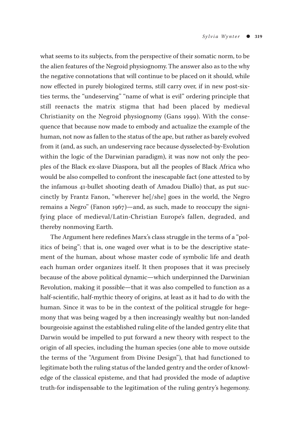what seems to its subjects, from the perspective of their somatic norm, to be the alien features of the Negroid physiognomy. The answer also as to the why the negative connotations that will continue to be placed on it should, while now effected in purely biologized terms, still carry over, if in new post-sixties terms, the "undeserving" "name of what is evil" ordering principle that still reenacts the matrix stigma that had been placed by medieval Christianity on the Negroid physiognomy (Gans 1999). With the consequence that because now made to embody and actualize the example of the human, not now as fallen to the status of the ape, but rather as barely evolved from it (and, as such, an undeserving race because dysselected-by-Evolution within the logic of the Darwinian paradigm), it was now not only the peoples of the Black ex-slave Diaspora, but all the peoples of Black Africa who would be also compelled to confront the inescapable fact (one attested to by the infamous 41-bullet shooting death of Amadou Diallo) that, as put succinctly by Frantz Fanon, "wherever he[/she] goes in the world, the Negro remains a Negro" (Fanon 1967)—and, as such, made to reoccupy the signifying place of medieval/Latin-Christian Europe's fallen, degraded, and thereby nonmoving Earth.

The Argument here redefines Marx's class struggle in the terms of a "politics of being": that is, one waged over what is to be the descriptive statement of the human, about whose master code of symbolic life and death each human order organizes itself. It then proposes that it was precisely because of the above political dynamic—which underpinned the Darwinian Revolution, making it possible—that it was also compelled to function as a half-scientific, half-mythic theory of origins, at least as it had to do with the human. Since it was to be in the context of the political struggle for hegemony that was being waged by a then increasingly wealthy but non-landed bourgeoisie against the established ruling elite of the landed gentry elite that Darwin would be impelled to put forward a new theory with respect to the origin of all species, including the human species (one able to move outside the terms of the "Argument from Divine Design"), that had functioned to legitimate both the ruling status of the landed gentry and the order of knowledge of the classical episteme, and that had provided the mode of adaptive truth-for indispensable to the legitimation of the ruling gentry's hegemony.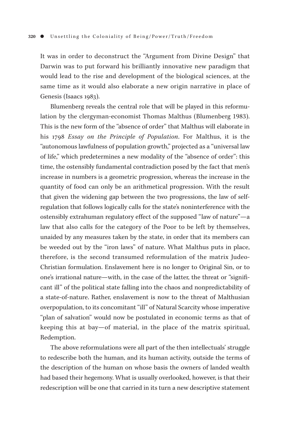It was in order to deconstruct the "Argument from Divine Design" that Darwin was to put forward his brilliantly innovative new paradigm that would lead to the rise and development of the biological sciences, at the same time as it would also elaborate a new origin narrative in place of Genesis (Isaacs 1983).

Blumenberg reveals the central role that will be played in this reformulation by the clergyman-economist Thomas Malthus (Blumenberg 1983). This is the new form of the "absence of order" that Malthus will elaborate in his 1798 *Essay on the Principle of Population*. For Malthus, it is the "autonomous lawfulness of population growth," projected as a "universal law of life," which predetermines a new modality of the "absence of order": this time, the ostensibly fundamental contradiction posed by the fact that men's increase in numbers is a geometric progression, whereas the increase in the quantity of food can only be an arithmetical progression. With the result that given the widening gap between the two progressions, the law of selfregulation that follows logically calls for the state's noninterference with the ostensibly extrahuman regulatory effect of the supposed "law of nature"—a law that also calls for the category of the Poor to be left by themselves, unaided by any measures taken by the state, in order that its members can be weeded out by the "iron laws" of nature. What Malthus puts in place, therefore, is the second transumed reformulation of the matrix Judeo-Christian formulation. Enslavement here is no longer to Original Sin, or to one's irrational nature—with, in the case of the latter, the threat or "significant ill" of the political state falling into the chaos and nonpredictability of a state-of-nature. Rather, enslavement is now to the threat of Malthusian overpopulation, to its concomitant "ill" of Natural Scarcity whose imperative "plan of salvation" would now be postulated in economic terms as that of keeping this at bay—of material, in the place of the matrix spiritual, Redemption.

The above reformulations were all part of the then intellectuals' struggle to redescribe both the human, and its human activity, outside the terms of the description of the human on whose basis the owners of landed wealth had based their hegemony. What is usually overlooked, however, is that their redescription will be one that carried in its turn a new descriptive statement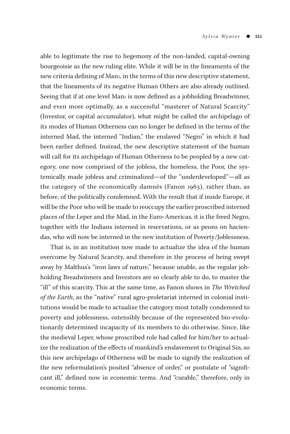able to legitimate the rise to hegemony of the non-landed, capital-owning bourgeoisie as the new ruling elite. While it will be in the lineaments of the new criteria defining of Man2, in the terms of this new descriptive statement, that the lineaments of its negative Human Others are also already outlined. Seeing that if at one level Man<sub>2</sub> is now defined as a jobholding Breadwinner, and even more optimally, as a successful "masterer of Natural Scarcity" (Investor, or capital accumulator), what might be called the archipelago of its modes of Human Otherness can no longer be defined in the terms of the interned Mad, the interned "Indian," the enslaved "Negro" in which it had been earlier defined. Instead, the new descriptive statement of the human will call for its archipelago of Human Otherness to be peopled by a new category, one now comprised of the jobless, the homeless, the Poor, the systemically made jobless and criminalized—of the "underdeveloped"—all as the category of the economically damnés (Fanon 1963), rather than, as before, of the politically condemned. With the result that if inside Europe, it will be the Poor who will be made to reoccupy the earlier proscribed interned places of the Leper and the Mad, in the Euro-Americas, it is the freed Negro, together with the Indians interned in reservations, or as peons on haciendas, who will now be interned in the new institution of Poverty/Joblessness.

That is, in an institution now made to actualize the idea of the human overcome by Natural Scarcity, and therefore in the process of being swept away by Malthus's "iron laws of nature," because unable, as the regular jobholding Breadwinners and Investors are so clearly able to do, to master the "ill" of this scarcity. This at the same time, as Fanon shows in *The Wretched of the Earth*, as the "native" rural agro-proletariat interned in colonial institutions would be made to actualize the category most totally condemned to poverty and joblessness, ostensibly because of the represented bio-evolutionarily determined incapacity of its members to do otherwise. Since, like the medieval Leper, whose proscribed role had called for him/her to actualize the realization of the effects of mankind's enslavement to Original Sin, so this new archipelago of Otherness will be made to signify the realization of the new reformulation's posited "absence of order," or postulate of "significant ill," defined now in economic terms. And "curable," therefore, only in economic terms.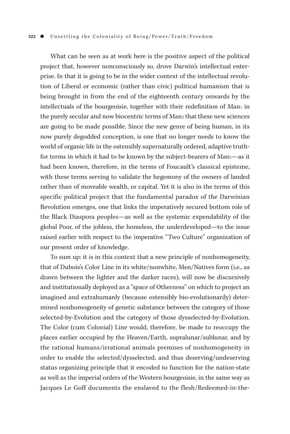What can be seen as at work here is the positive aspect of the political project that, however nonconsciously so, drove Darwin's intellectual enterprise. In that it is going to be in the wider context of the intellectual revolution of Liberal or economic (rather than civic) political humanism that is being brought in from the end of the eighteenth century onwards by the intellectuals of the bourgeoisie, together with their redefinition of Man1 in the purely secular and now biocentric terms of Man<sub>2</sub> that these new sciences are going to be made possible. Since the new genre of being human, in its now purely degodded conception, is one that no longer needs to know the world of organic life in the ostensibly supernaturally ordered, adaptive truthfor terms in which it had to be known by the subject-bearers of Man<sub>1</sub>-as it had been known, therefore, in the terms of Foucault's classical episteme, with these terms serving to validate the hegemony of the owners of landed rather than of moveable wealth, or capital. Yet it is also in the terms of this specific political project that the fundamental paradox of the Darwinian Revolution emerges, one that links the imperatively secured bottom role of the Black Diaspora peoples—as well as the systemic expendability of the global Poor, of the jobless, the homeless, the underdeveloped—to the issue raised earlier with respect to the imperative "Two Culture" organization of our present order of knowledge.

To sum up: it is in this context that a new principle of nonhomogeneity, that of Dubois's Color Line in its white/nonwhite, Men/Natives form (i.e., as drawn between the lighter and the darker races), will now be discursively and institutionally deployed as a "space of Otherness" on which to project an imagined and extrahumanly (because ostensibly bio-evolutionarily) determined nonhomogeneity of genetic substance between the category of those selected-by-Evolution and the category of those dysselected-by-Evolution. The Color (cum Colonial) Line would, therefore, be made to reoccupy the places earlier occupied by the Heaven/Earth, supralunar/sublunar, and by the rational humans/irrational animals premises of nonhomogeneity in order to enable the selected/dysselected, and thus deserving/undeserving status organizing principle that it encoded to function for the nation-state as well as the imperial orders of the Western bourgeoisie, in the same way as Jacques Le Goff documents the enslaved to the flesh/Redeemed-in-the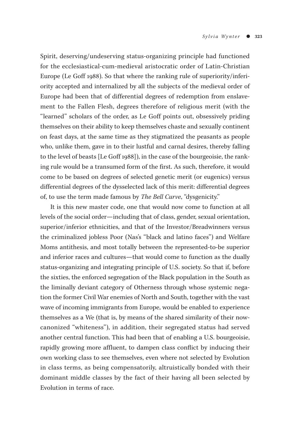Spirit, deserving/undeserving status-organizing principle had functioned for the ecclesiastical-cum-medieval aristocratic order of Latin-Christian Europe (Le Goff 1988). So that where the ranking rule of superiority/inferiority accepted and internalized by all the subjects of the medieval order of Europe had been that of differential degrees of redemption from enslavement to the Fallen Flesh, degrees therefore of religious merit (with the "learned" scholars of the order, as Le Goff points out, obsessively priding themselves on their ability to keep themselves chaste and sexually continent on feast days, at the same time as they stigmatized the peasants as people who, unlike them, gave in to their lustful and carnal desires, thereby falling to the level of beasts [Le Goff 1988]), in the case of the bourgeoisie, the ranking rule would be a transumed form of the first. As such, therefore, it would come to be based on degrees of selected genetic merit (or eugenics) versus differential degrees of the dysselected lack of this merit: differential degrees of, to use the term made famous by *The Bell Curve*, "dysgenicity."

It is this new master code, one that would now come to function at all levels of the social order—including that of class, gender, sexual orientation, superior/inferior ethnicities, and that of the Investor/Breadwinners versus the criminalized jobless Poor (Nas's "black and latino faces") and Welfare Moms antithesis, and most totally between the represented-to-be superior and inferior races and cultures—that would come to function as the dually status-organizing and integrating principle of U.S. society. So that if, before the sixties, the enforced segregation of the Black population in the South as the liminally deviant category of Otherness through whose systemic negation the former Civil War enemies of North and South, together with the vast wave of incoming immigrants from Europe, would be enabled to experience themselves as a We (that is, by means of the shared similarity of their nowcanonized "whiteness"), in addition, their segregated status had served another central function. This had been that of enabling a U.S. bourgeoisie, rapidly growing more affluent, to dampen class conflict by inducing their own working class to see themselves, even where not selected by Evolution in class terms, as being compensatorily, altruistically bonded with their dominant middle classes by the fact of their having all been selected by Evolution in terms of race.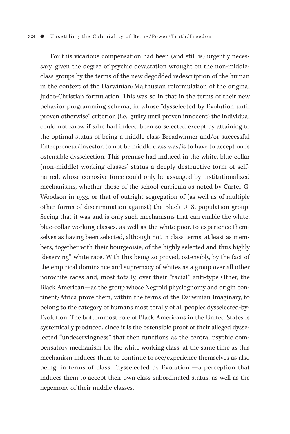For this vicarious compensation had been (and still is) urgently necessary, given the degree of psychic devastation wrought on the non-middleclass groups by the terms of the new degodded redescription of the human in the context of the Darwinian/Malthusian reformulation of the original Judeo-Christian formulation. This was so in that in the terms of their new behavior programming schema, in whose "dysselected by Evolution until proven otherwise" criterion (i.e., guilty until proven innocent) the individual could not know if s/he had indeed been so selected except by attaining to the optimal status of being a middle class Breadwinner and/or successful Entrepreneur/Investor, to not be middle class was/is to have to accept one's ostensible dysselection. This premise had induced in the white, blue-collar (non-middle) working classes' status a deeply destructive form of selfhatred, whose corrosive force could only be assuaged by institutionalized mechanisms, whether those of the school curricula as noted by Carter G. Woodson in 1933, or that of outright segregation of (as well as of multiple other forms of discrimination against) the Black U. S. population group. Seeing that it was and is only such mechanisms that can enable the white, blue-collar working classes, as well as the white poor, to experience themselves as having been selected, although not in class terms, at least as members, together with their bourgeoisie, of the highly selected and thus highly "deserving" white race. With this being so proved, ostensibly, by the fact of the empirical dominance and supremacy of whites as a group over all other nonwhite races and, most totally, over their "racial" anti-type Other, the Black American—as the group whose Negroid physiognomy and origin continent/Africa prove them, within the terms of the Darwinian Imaginary, to belong to the category of humans most totally of all peoples dysselected-by-Evolution. The bottommost role of Black Americans in the United States is systemically produced, since it is the ostensible proof of their alleged dysselected "undeservingness" that then functions as the central psychic compensatory mechanism for the white working class, at the same time as this mechanism induces them to continue to see/experience themselves as also being, in terms of class, "dysselected by Evolution"—a perception that induces them to accept their own class-subordinated status, as well as the hegemony of their middle classes.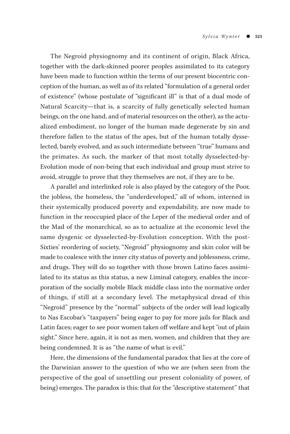The Negroid physiognomy and its continent of origin, Black Africa, together with the dark-skinned poorer peoples assimilated to its category have been made to function within the terms of our present biocentric conception of the human, as well as of its related "formulation of a general order of existence" (whose postulate of "significant ill" is that of a dual mode of Natural Scarcity—that is, a scarcity of fully genetically selected human beings, on the one hand, and of material resources on the other), as the actualized embodiment, no longer of the human made degenerate by sin and therefore fallen to the status of the apes, but of the human totally dysselected, barely evolved, and as such intermediate between "true" humans and the primates. As such, the marker of that most totally dysselected-by-Evolution mode of non-being that each individual and group must strive to avoid, struggle to prove that they themselves are not, if they are to be.

A parallel and interlinked role is also played by the category of the Poor, the jobless, the homeless, the "underdeveloped," all of whom, interned in their systemically produced poverty and expendability, are now made to function in the reoccupied place of the Leper of the medieval order and of the Mad of the monarchical, so as to actualize at the economic level the same dysgenic or dysselected-by-Evolution conception. With the post-Sixties' reordering of society, "Negroid" physiognomy and skin color will be made to coalesce with the inner city status of poverty and joblessness, crime, and drugs. They will do so together with those brown Latino faces assimilated to its status as this status, a new Liminal category, enables the incorporation of the socially mobile Black middle class into the normative order of things, if still at a secondary level. The metaphysical dread of this "Negroid" presence by the "normal" subjects of the order will lead logically to Nas Escobar's "taxpayers" being eager to pay for more jails for Black and Latin faces; eager to see poor women taken off welfare and kept "out of plain sight." Since here, again, it is not as men, women, and children that they are being condemned. It is as "the name of what is evil."

Here, the dimensions of the fundamental paradox that lies at the core of the Darwinian answer to the question of who we are (when seen from the perspective of the goal of unsettling our present coloniality of power, of being) emerges. The paradox is this: that for the "descriptive statement" that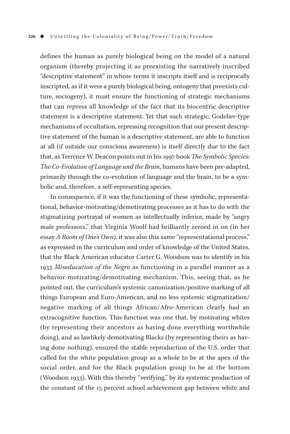defines the human as purely biological being on the model of a natural organism (thereby projecting it as preexisting the narratively inscribed "descriptive statement" in whose terms it inscripts itself and is reciprocally inscripted, as if it were a purely biological being, ontogeny that preexists culture, sociogeny), it must ensure the functioning of strategic mechanisms that can repress all knowledge of the fact that its biocentric descriptive statement is a descriptive statement. Yet that such strategic, Godelier-type mechanisms of occultation, repressing recognition that our present descriptive statement of the human is a descriptive statement, are able to function at all (if outside our conscious awareness) is itself directly due to the fact that, as Terrence W. Deacon points out in his 1997 book *The Symbolic Species: The Co-Evolution of Language and the Brain*, humans have been pre-adapted, primarily through the co-evolution of language and the brain, to be a symbolic and, therefore, a self-representing species.

In consequence, if it was the functioning of these symbolic, representational, behavior-motivating/demotivating processes as it has to do with the stigmatizing portrayal of women as intellectually inferior, made by "angry male professors," that Virginia Woolf had brilliantly zeroed in on (in her essay *A Room of One's Own*), it was also this same "representational process," as expressed in the curriculum and order of knowledge of the United States, that the Black American educator Carter G. Woodson was to identify in his 1933 *Miseducation of the Negro* as functioning in a parallel manner as a behavior-motivating/demotivating mechanism. This, seeing that, as he pointed out, the curriculum's systemic canonization/positive marking of all things European and Euro-American, and no less systemic stigmatization/ negative marking of all things African/Afro-American clearly had an extracognitive function. This function was one that, by motivating whites (by representing their ancestors as having done everything worthwhile doing), and as lawlikely demotivating Blacks (by representing theirs as having done nothing), ensured the stable reproduction of the U.S. order that called for the white population group as a whole to be at the apex of the social order, and for the Black population group to be at the bottom (Woodson 1933). With this thereby "verifying," by its systemic production of the constant of the 15 percent school achievement gap between white and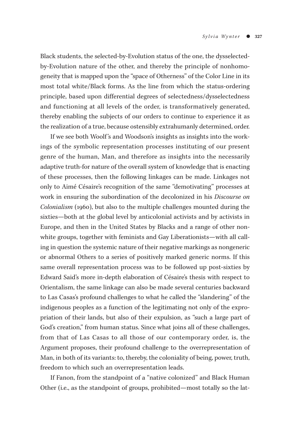Black students, the selected-by-Evolution status of the one, the dysselectedby-Evolution nature of the other, and thereby the principle of nonhomogeneity that is mapped upon the "space of Otherness" of the Color Line in its most total white/Black forms. As the line from which the status-ordering principle, based upon differential degrees of selectedness/dysselectedness and functioning at all levels of the order, is transformatively generated, thereby enabling the subjects of our orders to continue to experience it as the realization of a true, because ostensibly extrahumanly determined, order.

If we see both Woolf 's and Woodson's insights as insights into the workings of the symbolic representation processes instituting of our present genre of the human, Man, and therefore as insights into the necessarily adaptive truth-for nature of the overall system of knowledge that is enacting of these processes, then the following linkages can be made. Linkages not only to Aimé Césaire's recognition of the same "demotivating" processes at work in ensuring the subordination of the decolonized in his *Discourse on Colonialism* (1960), but also to the multiple challenges mounted during the sixties—both at the global level by anticolonial activists and by activists in Europe, and then in the United States by Blacks and a range of other nonwhite groups, together with feminists and Gay Liberationists—with all calling in question the systemic nature of their negative markings as nongeneric or abnormal Others to a series of positively marked generic norms. If this same overall representation process was to be followed up post-sixties by Edward Said's more in-depth elaboration of Césaire's thesis with respect to Orientalism, the same linkage can also be made several centuries backward to Las Casas's profound challenges to what he called the "slandering" of the indigenous peoples as a function of the legitimating not only of the expropriation of their lands, but also of their expulsion, as "such a large part of God's creation," from human status. Since what joins all of these challenges, from that of Las Casas to all those of our contemporary order, is, the Argument proposes, their profound challenge to the overrepresentation of Man, in both of its variants: to, thereby, the coloniality of being, power, truth, freedom to which such an overrepresentation leads.

If Fanon, from the standpoint of a "native colonized" and Black Human Other (i.e., as the standpoint of groups, prohibited—most totally so the lat-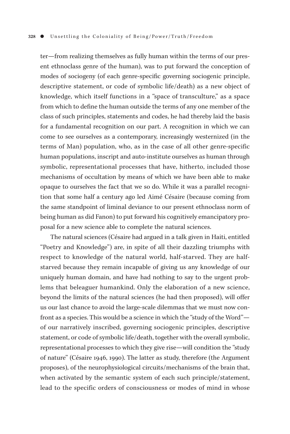## **328** ● Unsettling the Coloniality of Being/Power/Truth/Freedom

ter—from realizing themselves as fully human within the terms of our present ethnoclass genre of the human), was to put forward the conception of modes of sociogeny (of each genre-specific governing sociogenic principle, descriptive statement, or code of symbolic life/death) as a new object of knowledge, which itself functions in a "space of transculture," as a space from which to define the human outside the terms of any one member of the class of such principles, statements and codes, he had thereby laid the basis for a fundamental recognition on our part. A recognition in which we can come to see ourselves as a contemporary, increasingly westernized (in the terms of Man) population, who, as in the case of all other genre-specific human populations, inscript and auto-institute ourselves as human through symbolic, representational processes that have, hitherto, included those mechanisms of occultation by means of which we have been able to make opaque to ourselves the fact that we so do. While it was a parallel recognition that some half a century ago led Aimé Césaire (because coming from the same standpoint of liminal deviance to our present ethnoclass norm of being human as did Fanon) to put forward his cognitively emancipatory proposal for a new science able to complete the natural sciences.

The natural sciences (Césaire had argued in a talk given in Haiti, entitled "Poetry and Knowledge") are, in spite of all their dazzling triumphs with respect to knowledge of the natural world, half-starved. They are halfstarved because they remain incapable of giving us any knowledge of our uniquely human domain, and have had nothing to say to the urgent problems that beleaguer humankind. Only the elaboration of a new science, beyond the limits of the natural sciences (he had then proposed), will offer us our last chance to avoid the large-scale dilemmas that we must now confront as a species. This would be a science in which the "study of the Word" of our narratively inscribed, governing sociogenic principles, descriptive statement, or code of symbolic life/death, together with the overall symbolic, representational processes to which they give rise—will condition the "study of nature" (Césaire 1946, 1990). The latter as study, therefore (the Argument proposes), of the neurophysiological circuits/mechanisms of the brain that, when activated by the semantic system of each such principle/statement, lead to the specific orders of consciousness or modes of mind in whose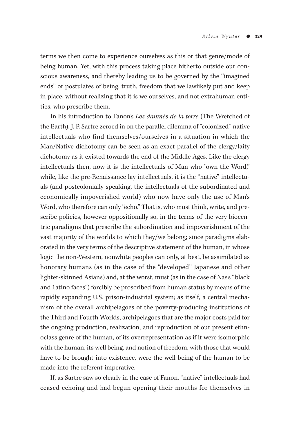terms we then come to experience ourselves as this or that genre/mode of being human. Yet, with this process taking place hitherto outside our conscious awareness, and thereby leading us to be governed by the "imagined ends" or postulates of being, truth, freedom that we lawlikely put and keep in place, without realizing that it is we ourselves, and not extrahuman entities, who prescribe them.

In his introduction to Fanon's *Les damnés de la terre* (The Wretched of the Earth), J. P. Sartre zeroed in on the parallel dilemma of "colonized" native intellectuals who find themselves/ourselves in a situation in which the Man/Native dichotomy can be seen as an exact parallel of the clergy/laity dichotomy as it existed towards the end of the Middle Ages. Like the clergy intellectuals then, now it is the intellectuals of Man who "own the Word," while, like the pre-Renaissance lay intellectuals, it is the "native" intellectuals (and postcolonially speaking, the intellectuals of the subordinated and economically impoverished world) who now have only the use of Man's Word, who therefore can only "echo." That is, who must think, write, and prescribe policies, however oppositionally so, in the terms of the very biocentric paradigms that prescribe the subordination and impoverishment of the vast majority of the worlds to which they/we belong; since paradigms elaborated in the very terms of the descriptive statement of the human, in whose logic the non-Western, nonwhite peoples can only, at best, be assimilated as honorary humans (as in the case of the "developed" Japanese and other lighter-skinned Asians) and, at the worst, must (as in the case of Nas's "black and 1atino faces") forcibly be proscribed from human status by means of the rapidly expanding U.S. prison-industrial system; as itself, a central mechanism of the overall archipelagoes of the poverty-producing institutions of the Third and Fourth Worlds, archipelagoes that are the major costs paid for the ongoing production, realization, and reproduction of our present ethnoclass genre of the human, of its overrepresentation as if it were isomorphic with the human, its well being, and notion of freedom, with those that would have to be brought into existence, were the well-being of the human to be made into the referent imperative.

If, as Sartre saw so clearly in the case of Fanon, "native" intellectuals had ceased echoing and had begun opening their mouths for themselves in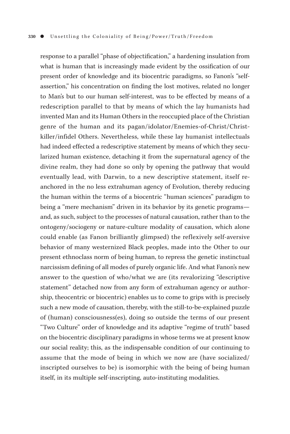response to a parallel "phase of objectification," a hardening insulation from what is human that is increasingly made evident by the ossification of our present order of knowledge and its biocentric paradigms, so Fanon's "selfassertion," his concentration on finding the lost motives, related no longer to Man's but to our human self-interest, was to be effected by means of a redescription parallel to that by means of which the lay humanists had invented Man and its Human Others in the reoccupied place of the Christian genre of the human and its pagan/idolator/Enemies-of-Christ/Christkiller/infidel Others. Nevertheless, while these lay humanist intellectuals had indeed effected a redescriptive statement by means of which they secularized human existence, detaching it from the supernatural agency of the divine realm, they had done so only by opening the pathway that would eventually lead, with Darwin, to a new descriptive statement, itself reanchored in the no less extrahuman agency of Evolution, thereby reducing the human within the terms of a biocentric "human sciences" paradigm to being a "mere mechanism" driven in its behavior by its genetic programs and, as such, subject to the processes of natural causation, rather than to the ontogeny/sociogeny or nature-culture modality of causation, which alone could enable (as Fanon brilliantly glimpsed) the reflexively self-aversive behavior of many westernized Black peoples, made into the Other to our present ethnoclass norm of being human, to repress the genetic instinctual narcissism defining of all modes of purely organic life. And what Fanon's new answer to the question of who/what we are (its revalorizing "descriptive statement" detached now from any form of extrahuman agency or authorship, theocentric or biocentric) enables us to come to grips with is precisely such a new mode of causation, thereby, with the still-to-be-explained puzzle of (human) consciousness(es), doing so outside the terms of our present "Two Culture" order of knowledge and its adaptive "regime of truth" based on the biocentric disciplinary paradigms in whose terms we at present know our social reality; this, as the indispensable condition of our continuing to assume that the mode of being in which we now are (have socialized/ inscripted ourselves to be) is isomorphic with the being of being human itself, in its multiple self-inscripting, auto-instituting modalities.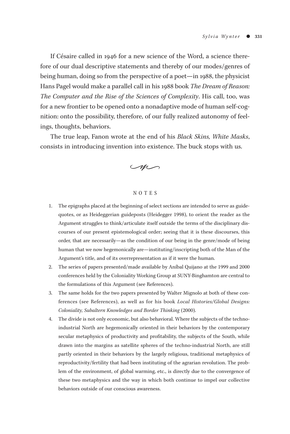If Césaire called in 1946 for a new science of the Word, a science therefore of our dual descriptive statements and thereby of our modes/genres of being human, doing so from the perspective of a poet—in 1988, the physicist Hans Pagel would make a parallel call in his 1988 book *The Dream of Reason: The Computer and the Rise of the Sciences of Complexity*. His call, too, was for a new frontier to be opened onto a nonadaptive mode of human self-cognition: onto the possibility, therefore, of our fully realized autonomy of feelings, thoughts, behaviors.

The true leap, Fanon wrote at the end of his *Black Skins, White Masks*, consists in introducing invention into existence. The buck stops with us.



# NOTES

- 1. The epigraphs placed at the beginning of select sections are intended to serve as guidequotes, or as Heideggerian guideposts (Heidegger 1998), to orient the reader as the Argument struggles to think/articulate itself outside the terms of the disciplinary discourses of our present epistemological order; seeing that it is these discourses, this order, that are necessarily—as the condition of our being in the genre/mode of being human that we now hegemonically are—instituting/inscripting both of the Man of the Argument's title, and of its overrepresentation as if it were the human.
- 2. The series of papers presented/made available by Aníbal Quijano at the 1999 and 2000 conferences held by the Coloniality Working Group at SUNY-Binghamton are central to the formulations of this Argument (see References).
- 3. The same holds for the two papers presented by Walter Mignolo at both of these conferences (see References), as well as for his book *Local Histories/Global Designs: Coloniality, Subaltern Knowledges and Border Thinking* (2000).
- 4. The divide is not only economic, but also behavioral. Where the subjects of the technoindustrial North are hegemonically oriented in their behaviors by the contemporary secular metaphysics of productivity and profitability, the subjects of the South, while drawn into the margins as satellite spheres of the techno-industrial North, are still partly oriented in their behaviors by the largely religious, traditional metaphysics of reproductivity/fertility that had been instituting of the agrarian revolution. The problem of the environment, of global warming, etc., is directly due to the convergence of these two metaphysics and the way in which both continue to impel our collective behaviors outside of our conscious awareness.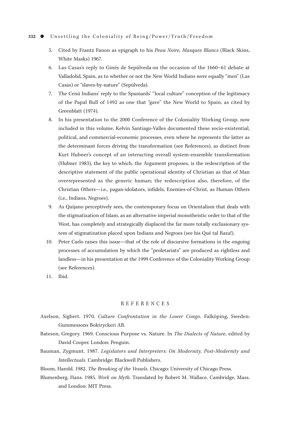#### **332** ● Unsettling the Coloniality of Being/Power/Truth/Freedom

- 5. Cited by Frantz Fanon as epigraph to his *Peau Noire, Masques Blancs* (Black Skins, White Masks) 1967.
- 6. Las Casas's reply to Ginés de Sepúlveda on the occasion of the 1660–61 debate at Valladolid, Spain, as to whether or not the New World Indians were equally "men" (Las Casas) or "slaves-by-nature" (Sepúlveda).
- 7. The Cenú Indians' reply to the Spaniards' "local culture" conception of the legitimacy of the Papal Bull of 1492 as one that "gave" the New World to Spain, as cited by Greenblatt (1974).
- 8. In his presentation to the 2000 Conference of the Coloniality Working Group, now included in this volume, Kelvin Santiago-Valles documented these socio-existential, political, and commercial-economic processes, even where he represents the latter as the determinant forces driving the transformation (see References), as distinct from Kurt Hubner's concept of an interacting overall system-ensemble transformation (Hubner 1983), the key to which, the Argument proposes, is the redescription of the descriptive statement of the public operational identity of Christian as that of Man overrepresented as the generic human; the redescription also, therefore, of the Christian Others—i.e., pagan-idolators, infidels, Enemies-of-Christ, as Human Others (i.e., Indians, Negroes).
- 9. As Quijano perceptively sees, the contemporary focus on Orientalism that deals with the stigmatization of Islam, as an alternative imperial monotheistic order to that of the West, has completely and strategically displaced the far more totally exclusionary system of stigmatization placed upon Indians and Negroes (see his Qué tal Raza!).
- 10. Peter Carlo raises this issue—that of the role of discursive formations in the ongoing processes of accumulation by which the "proletariats" are produced as rightless and landless—in his presentation at the 1999 Conference of the Coloniality Working Group (see References).
- 11. Ibid.

# REFERENCES

- Axelson, Sigbert. 1970. *Culture Confrontation in the Lower Congo*. Falköping, Sweden: Gummessons Boktryckeri AB.
- Bateson, Gregory. 1969. Conscious Purpose vs. Nature. In *The Dialects of Nature*, edited by David Cooper. London: Penguin.
- Bauman, Zygmunt. 1987. *Legislators and Interpreters: On Modernity, Post-Modernity and Intellectuals*. Cambridge: Blackwell Publishers.

Bloom, Harold. 1982. *The Breaking of the Vessels*. Chicago: University of Chicago Press.

Blumenberg, Hans. 1985. *Work on Myth*. Translated by Robert M. Wallace. Cambridge, Mass. and London: MIT Press.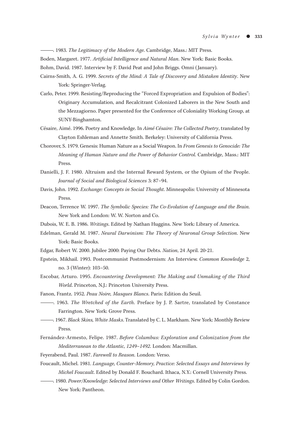———. 1983. *The Legitimacy of the Modern Age*. Cambridge, Mass.: MIT Press.

Boden, Margaret. 1977. *Artificial Intelligence and Natural Man*. New York: Basic Books.

Bohm, David. 1987. Interview by F. David Peat and John Briggs. Omni (January).

- Cairns-Smith, A. G. 1999. *Secrets of the Mind: A Tale of Discovery and Mistaken Identity*. New York: Springer-Verlag.
- Carlo, Peter. 1999. Resisting/Reproducing the "Forced Expropriation and Expulsion of Bodies": Originary Accumulation, and Recalcitrant Colonized Laborers in the New South and the Mezzagiorno. Paper presented for the Conference of Coloniality Working Group, at SUNY-Binghamton.
- Césaire, Aimé. 1996. Poetry and Knowledge. In *Aimé Césaire: The Collected Poetry*, translated by Clayton Eshleman and Annette Smith. Berkeley: University of California Press.
- Chorover, S. 1979. Genesis: Human Nature as a Social Weapon. In *From Genesis to Genocide: The Meaning of Human Nature and the Power of Behavior Control*. Cambridge, Mass.: MIT Press.
- Danielli, J. F. 1980. Altruism and the Internal Reward System, or the Opium of the People. *Journal of Social and Biological Sciences* 3: 87–94.
- Davis, John. 1992. *Exchange: Concepts in Social Thought*. Minneapolis: University of Minnesota Press.
- Deacon, Terrence W. 1997. *The Symbolic Species: The Co-Evolution of Language and the Brain*. New York and London: W. W. Norton and Co.
- Dubois, W. E. B. 1986. *Writings*. Edited by Nathan Huggins. New York: Library of America.
- Edelman, Gerald M. 1987. *Neural Darwinism: The Theory of Neuronal Group Selection*. New York: Basic Books.
- Edgar, Robert W. 2000. Jubilee 2000: Paying Our Debts. *Nation*, 24 April. 20-21.
- Epstein, Mikhail. 1993. Postcommunist Postmodernism: An Interview. *Common Knowledge* 2, no. 3 (Winter): 103–50.
- Escobar, Arturo. 1995. *Encountering Development: The Making and Unmaking of the Third World*. Princeton, N.J.: Princeton University Press.
- Fanon, Frantz. 1952. *Peau Noire, Masques Blancs*. Paris: Edition du Seuil.
- ———. 1963. *The Wretched of the Earth*. Preface by J. P. Sartre, translated by Constance Farrington. New York: Grove Press.
- ———. 1967. *Black Skins, White Masks*. Translated by C. L. Markham. New York: Monthly Review Press.
- Fernández-Armesto, Felipe. 1987. *Before Columbus: Exploration and Colonization from the Mediterranean to the Atlantic, 1249–1492*. London: Macmillan.
- Feyerabend, Paul. 1987. *Farewell to Reason*. London: Verso.
- Foucault, Michel. 1981. *Language, Counter-Memory, Practice: Selected Essays and Interviews by Michel Foucault*. Edited by Donald F. Bouchard. Ithaca, N.Y.: Cornell University Press.
- ———. 1980. *Power/Knowledge: Selected Interviews and Other Writings*. Edited by Colin Gordon. New York: Pantheon.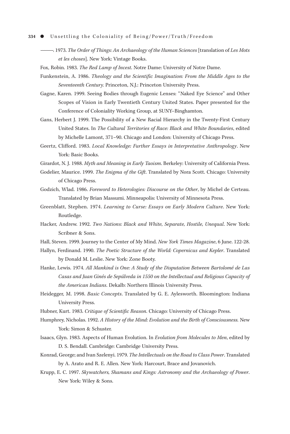———. 1973. *The Order of Things: An Archaeology of the Human Sciences* [translation of *Les Mots et les choses*]. New York: Vintage Books.

Fox, Robin. 1983. *The Red Lamp of Incest*. Notre Dame: University of Notre Dame.

- Funkenstein, A. 1986. *Theology and the Scientific Imagination: From the Middle Ages to the Seventeenth Century.* Princeton, N.J.: Princeton University Press.
- Gagne, Karen. 1999. Seeing Bodies through Eugenic Lenses: "Naked Eye Science" and Other Scopes of Vision in Early Twentieth Century United States. Paper presented for the Conference of Coloniality Working Group, at SUNY–Binghamton.
- Gans, Herbert J. 1999. The Possibility of a New Racial Hierarchy in the Twenty-First Century United States. In *The Cultural Territories of Race: Black and White Boundaries*, edited by Michelle Lamont, 371–90. Chicago and London: University of Chicago Press.
- Geertz, Clifford. 1983. *Local Knowledge: Further Essays in Interpretative Anthropology*. New York: Basic Books.
- Girardot, N. J. 1988. *Myth and Meaning in Early Taoism*. Berkeley: University of California Press.
- Godelier, Maurice. 1999. *The Enigma of the Gift*. Translated by Nora Scott. Chicago: University of Chicago Press.
- Godzich, Wlad. 1986. *Foreword to Heterologies: Discourse on the Other*, by Michel de Certeau. Translated by Brian Massumi. Minneapolis: University of Minnesota Press.
- Greenblatt, Stephen. 1974. *Learning to Curse: Essays on Early Modern Culture*. New York: Routledge.
- Hacker, Andrew. 1992. *Two Nations: Black and White, Separate, Hostile, Unequal*. New York: Scribner & Sons.
- Hall, Steven. 1999. Journey to the Center of My Mind. *New York Times Magazine*, 6 June. 122-28.
- Hallyn, Ferdinand. 1990. *The Poetic Structure of the World: Copernicus and Kepler*. Translated by Donald M. Leslie. New York: Zone Booty.
- Hanke, Lewis. 1974. *All Mankind is One: A Study of the Disputation Between Bartolomé de Las Casas and Juan Ginés de Sepúlveda in 1550 on the Intellectual and Religious Capacity of the American Indians*. Dekalb: Northern Illinois University Press.
- Heidegger, M. 1998. *Basic Concepts*. Translated by G. E. Aylesworth. Bloomington: Indiana University Press.
- Hubner, Kurt. 1983. *Critique of Scientific Reason*. Chicago: University of Chicago Press.
- Humphrey, Nicholas. 1992. *A History of the Mind: Evolution and the Birth of Consciousness.* New York: Simon & Schuster.
- Isaacs, Glyn. 1983. Aspects of Human Evolution. In *Evolution from Molecules to Men*, edited by D. S. Bendall. Cambridge: Cambridge University Press.
- Konrad, George; and Ivan Szelenyi. 1979. *The Intellectuals on the Road to Class Power*. Translated by A. Arato and R. E. Allen. New York: Harcourt, Brace and Jovanovich.
- Krupp, E. C. 1997. *Skywatchers, Shamans and Kings: Astronomy and the Archaeology of Power*. New York: Wiley & Sons.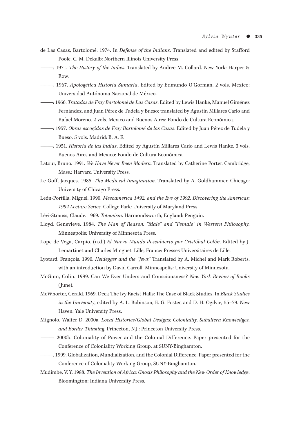- de Las Casas, Bartolomé. 1974. In *Defense of the Indians*. Translated and edited by Stafford Poole, C. M. Dekalb: Northern Illinois University Press.
- ———. 1971. *The History of the Indies*. Translated by Andree M. Collard. New York: Harper & Row.
- ———. 1967. *Apologética Historia Sumaria*. Edited by Edmundo O'Gorman. 2 vols. Mexico: Universidad Autónoma Nacional de México.
- ———. 1966. *Tratados de Fray Bartolomé de Las Casas*. Edited by Lewis Hanke, Manuel Giménez Fernández, and Juan Pérez de Tudela y Bueso; translated by Agustin Millares Carlo and Rafael Moreno. 2 vols. Mexico and Buenos Aires: Fondo de Cultura Económica.
- ———. 1957. *Obras escogidas de Fray Bartolomé de las Casas*. Edited by Juan Pérez de Tudela y Bueso. 5 vols. Madrid: B. A. E.
- ———. 1951. *Historia de las Indias*, Edited by Agustín Millares Carlo and Lewis Hanke. 3 vols. Buenos Aires and Mexico: Fondo de Cultura Económica.
- Latour, Bruno. 1991. *We Have Never Been Modern*. Translated by Catherine Porter. Cambridge, Mass.: Harvard University Press.
- Le Goff, Jacques. 1985. *The Medieval Imagination*. Translated by A. Goldhammer. Chicago: University of Chicago Press.
- León-Portilla, Miguel. 1990. *Mesoamerica 1492, and the Eve of 1992. Discovering the Americas: 1992 Lecture Series*. College Park: University of Maryland Press.
- Lévi-Strauss, Claude. 1969. *Totemism*. Harmondsworth, England: Penguin.
- Lloyd, Genevieve. 1984. *The Man of Reason: "Male" and "Female" in Western Philosophy.* Minneapolis: University of Minnesota Press.
- Lope de Vega, Carpio. (n.d.) *El Nuevo Mundo descubierto por Cristóbal Colón*. Edited by J. Lemartinet and Charles Minguet. Lille, France: Presses Universitaires de Lille.
- Lyotard, François. 1990. *Heidegger and the "Jews."* Translated by A. Michel and Mark Roberts, with an introduction by David Carroll. Minneapolis: University of Minnesota.
- McGinn, Colin. 1999. Can We Ever Understand Consciousness? *New York Review of Books* (June).
- McWhorter, Gerald. 1969. Deck The Ivy Racist Halls: The Case of Black Studies. In *Black Studies in the University*, edited by A. L. Robinson, E. G. Foster, and D. H. Ogilvie, 55–79. New Haven: Yale University Press.
- Mignolo, Walter D. 2000a. *Local Histories/Global Designs: Coloniality, Subaltern Knowledges, and Border Thinking*. Princeton, N.J.: Princeton University Press.
- ———. 2000b. Coloniality of Power and the Colonial Difference. Paper presented for the Conference of Coloniality Working Group, at SUNY-Binghamton.
- ———. 1999. Globalization, Mundialization, and the Colonial Difference. Paper presented for the Conference of Coloniality Working Group, SUNY-Binghamton.
- Mudimbe, V. Y. 1988. *The Invention of Africa: Gnosis Philosophy and the New Order of Knowledge*. Bloomington: Indiana University Press.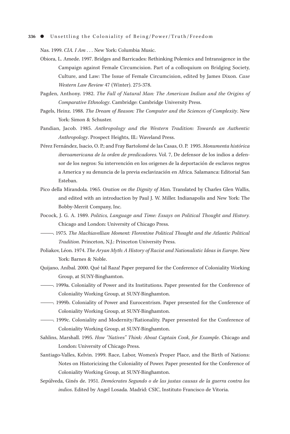### **336** ● Unsettling the Coloniality of Being/Power/Truth/Freedom

Nas. 1999. *CIA. I Am . . .* New York: Columbia Music.

- Obiora, L. Amede. 1997. Bridges and Barricades: Rethinking Polemics and Intransigence in the Campaign against Female Circumcision. Part of a colloquium on Bridging Society, Culture, and Law: The Issue of Female Circumcision, edited by James Dixon. *Case Western Law Review* 47 (Winter). 275-378.
- Pagden, Anthony. 1982. *The Fall of Natural Man: The American Indian and the Origins of Comparative Ethnology*. Cambridge: Cambridge University Press.
- Pagels, Heinz. 1988. *The Dream of Reason: The Computer and the Sciences of Complexity*. New York: Simon & Schuster.
- Pandian, Jacob. 1985. *Anthropology and the Western Tradition: Towards an Authentic Anthropology*. Prospect Heights, Ill.: Waveland Press.
- Pérez Fernández, Isacio, O. P.; and Fray Bartolomé de las Casas, O. P. 1995. *Monumenta histórica iberoamericana de la orden de predicadores*. Vol. 7, De defensor de los indios a defensor de los negros: Su intervención en los origenes de la deportación de esclavos negros a America y su denuncia de la previa esclavización en Africa. Salamanca: Editorial San Esteban.
- Pico della Mirandola. 1965. *Oration on the Dignity of Ma*n. Translated by Charles Glen Wallis, and edited with an introduction by Paul J. W. Miller. Indianapolis and New York: The Bobby-Merrit Company, Inc.
- Pocock, J. G. A. 1989. *Politics, Language and Time: Essays on Political Thought and History.* Chicago and London: University of Chicago Press.
- ———. 1975. *The Machiavellian Moment: Florentine Political Thought and the Atlantic Political Tradition*. Princeton, N.J.: Princeton University Press.
- Poliakov, Léon. 1974. *The Aryan Myth: A History of Racist and Nationalistic Ideas in Europe*. New York: Barnes & Noble.
- Quijano, Aníbal. 2000. Qué tal Raza! Paper prepared for the Conference of Coloniality Working Group, at SUNY-Binghamton.
- ———. 1999a. Coloniality of Power and its Institutions. Paper presented for the Conference of Coloniality Working Group, at SUNY-Binghamton.
- ———. 1999b. Coloniality of Power and Eurocentrism. Paper presented for the Conference of Coloniality Working Group, at SUNY-Binghamton.
- ———. 1999c. Coloniality and Modernity/Rationality. Paper presented for the Conference of Coloniality Working Group, at SUNY-Binghamton.
- Sahlins, Marshall. 1995. *How "Natives" Think: About Captain Cook, for Example*. Chicago and London: University of Chicago Press.
- Santiago-Valles, Kelvin. 1999. Race, Labor, Women's Proper Place, and the Birth of Nations: Notes on Historicizing the Coloniality of Power. Paper presented for the Conference of Coloniality Working Group, at SUNY-Binghamton.
- Sepúlveda, Ginés de. 1951. *Demócrates Segundo o de las justas causas de la guerra contra los indios*. Edited by Angel Losada. Madrid: CSIC, Instituto Francisco de Vitoria.